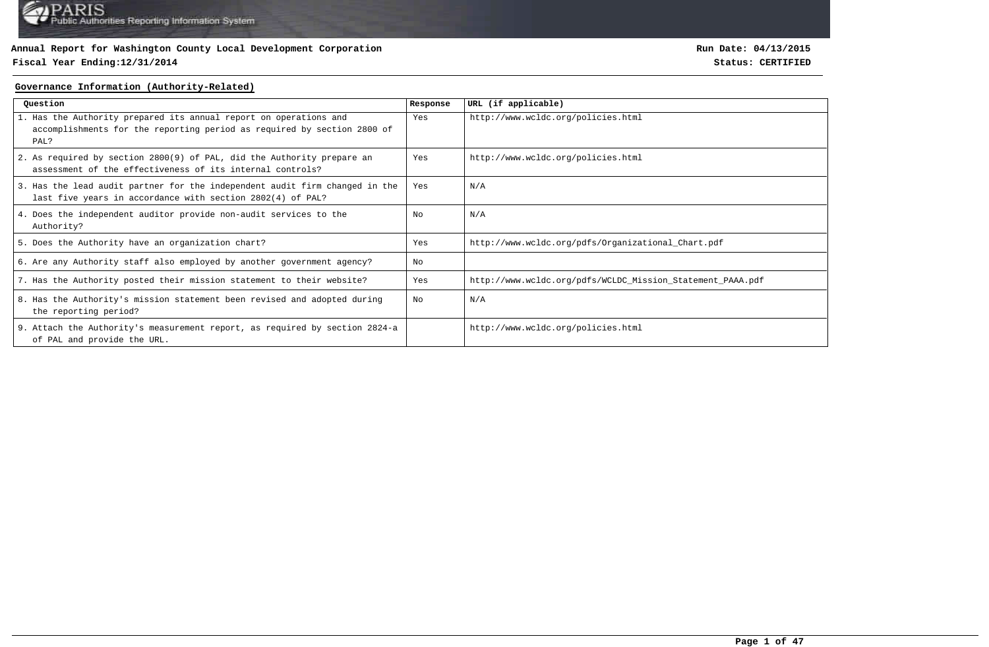### **Fiscal Year Ending:12/31/2014 Status: CERTIFIED**

**Run Date: 04/13/2015**

### **Governance Information (Authority-Related)**

| Ouestion                                                                                                                                             | Response | URL (if applicable)                                        |
|------------------------------------------------------------------------------------------------------------------------------------------------------|----------|------------------------------------------------------------|
| 1. Has the Authority prepared its annual report on operations and<br>accomplishments for the reporting period as required by section 2800 of<br>PAL? | Yes      | http://www.wcldc.org/policies.html                         |
| 2. As required by section 2800(9) of PAL, did the Authority prepare an<br>assessment of the effectiveness of its internal controls?                  | Yes      | http://www.wcldc.org/policies.html                         |
| 3. Has the lead audit partner for the independent audit firm changed in the<br>last five years in accordance with section 2802(4) of PAL?            | Yes      | N/A                                                        |
| 4. Does the independent auditor provide non-audit services to the<br>Authority?                                                                      | No       | N/A                                                        |
| 5. Does the Authority have an organization chart?                                                                                                    | Yes      | http://www.wcldc.org/pdfs/0rganizational_Chart.pdf         |
| 6. Are any Authority staff also employed by another government agency?                                                                               | No       |                                                            |
| 7. Has the Authority posted their mission statement to their website?                                                                                | Yes      | http://www.wcldc.org/pdfs/WCLDC_Mission_Statement_PAAA.pdf |
| 8. Has the Authority's mission statement been revised and adopted during<br>the reporting period?                                                    | No       | N/A                                                        |
| 9. Attach the Authority's measurement report, as required by section 2824-a<br>of PAL and provide the URL.                                           |          | http://www.wcldc.org/policies.html                         |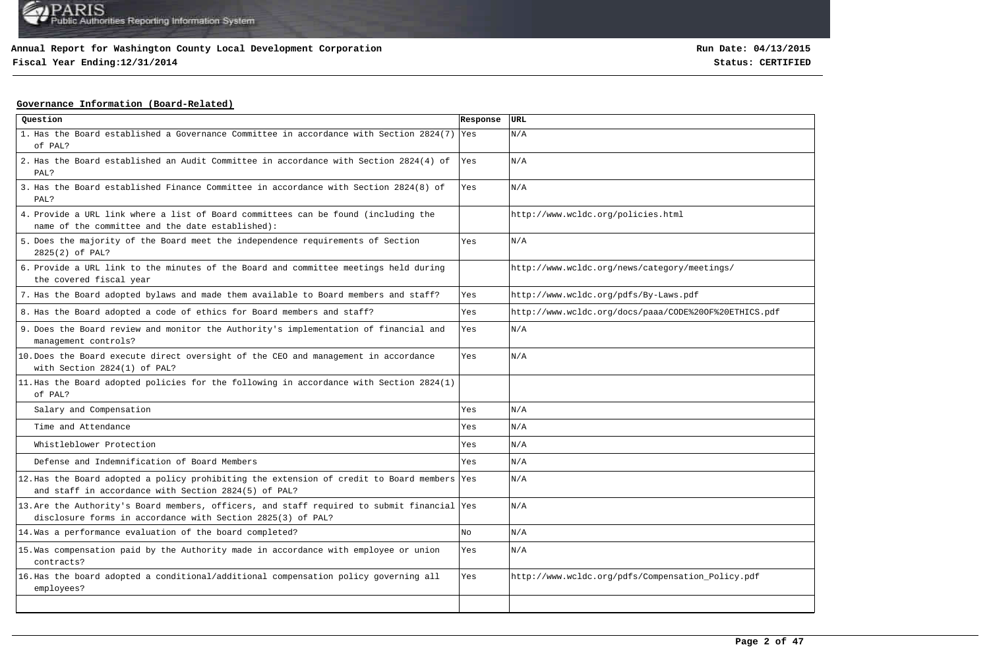**Fiscal Year Ending:12/31/2014 Status: CERTIFIED**

### **Governance Information (Board-Related)**

| Question                                                                                                                                                   | Response   | URL                                                   |
|------------------------------------------------------------------------------------------------------------------------------------------------------------|------------|-------------------------------------------------------|
| 1. Has the Board established a Governance Committee in accordance with Section 2824(7)<br>of PAL?                                                          | <b>Yes</b> | N/A                                                   |
| 2. Has the Board established an Audit Committee in accordance with Section 2824(4) of<br>PAL?                                                              | Yes        | N/A                                                   |
| 3. Has the Board established Finance Committee in accordance with Section 2824(8) of<br>PAL?                                                               | Yes        | N/A                                                   |
| 4. Provide a URL link where a list of Board committees can be found (including the<br>name of the committee and the date established):                     |            | http://www.wcldc.org/policies.html                    |
| 5. Does the majority of the Board meet the independence requirements of Section<br>2825(2) of PAL?                                                         | Yes        | N/A                                                   |
| 6. Provide a URL link to the minutes of the Board and committee meetings held during<br>the covered fiscal year                                            |            | http://www.wcldc.org/news/category/meetings/          |
| 7. Has the Board adopted bylaws and made them available to Board members and staff?                                                                        | Yes        | http://www.wcldc.org/pdfs/By-Laws.pdf                 |
| 8. Has the Board adopted a code of ethics for Board members and staff?                                                                                     | Yes        | http://www.wcldc.org/docs/paaa/CODE%200F%20ETHICS.pdf |
| 9. Does the Board review and monitor the Authority's implementation of financial and<br>management controls?                                               | Yes        | N/A                                                   |
| 10. Does the Board execute direct oversight of the CEO and management in accordance<br>with Section 2824(1) of PAL?                                        | Yes        | N/A                                                   |
| 11. Has the Board adopted policies for the following in accordance with Section 2824(1)<br>of PAL?                                                         |            |                                                       |
| Salary and Compensation                                                                                                                                    | Yes        | N/A                                                   |
| Time and Attendance                                                                                                                                        | Yes        | N/A                                                   |
| Whistleblower Protection                                                                                                                                   | Yes        | N/A                                                   |
| Defense and Indemnification of Board Members                                                                                                               | Yes        | N/A                                                   |
| 12. Has the Board adopted a policy prohibiting the extension of credit to Board members Yes<br>and staff in accordance with Section 2824(5) of PAL?        |            | N/A                                                   |
| 13. Are the Authority's Board members, officers, and staff required to submit financial Yes<br>disclosure forms in accordance with Section 2825(3) of PAL? |            | N/A                                                   |
| 14. Was a performance evaluation of the board completed?                                                                                                   | No         | N/A                                                   |
| 15. Was compensation paid by the Authority made in accordance with employee or union<br>contracts?                                                         | Yes        | N/A                                                   |
| 16. Has the board adopted a conditional/additional compensation policy governing all<br>employees?                                                         | Yes        | http://www.wcldc.org/pdfs/Compensation_Policy.pdf     |
|                                                                                                                                                            |            |                                                       |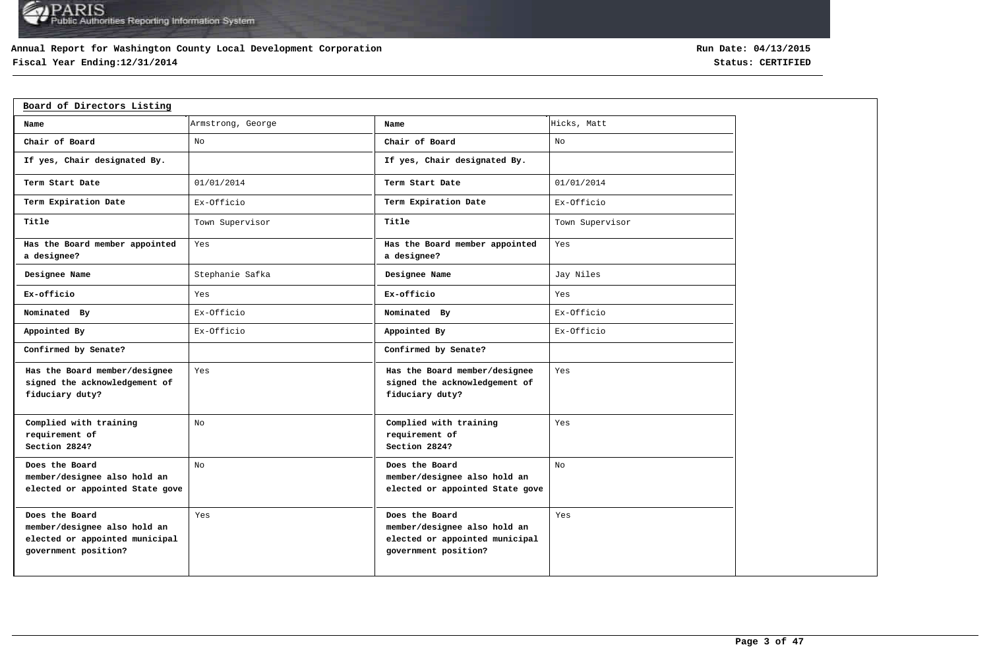### **Annual Report for Washington County Local Development Corporation**

## **Fiscal Year Ending:12/31/2014 Status: CERTIFIED**

| Board of Directors Listing                                                                               |                   |                                                                                                          |                 |
|----------------------------------------------------------------------------------------------------------|-------------------|----------------------------------------------------------------------------------------------------------|-----------------|
| Name                                                                                                     | Armstrong, George | Name                                                                                                     | Hicks, Matt     |
| Chair of Board                                                                                           | No                | Chair of Board                                                                                           | No              |
| If yes, Chair designated By.                                                                             |                   | If yes, Chair designated By.                                                                             |                 |
| Term Start Date                                                                                          | 01/01/2014        | Term Start Date                                                                                          | 01/01/2014      |
| Term Expiration Date                                                                                     | Ex-Officio        | Term Expiration Date                                                                                     | Ex-Officio      |
| Title                                                                                                    | Town Supervisor   | Title                                                                                                    | Town Supervisor |
| Has the Board member appointed<br>a designee?                                                            | Yes               | Has the Board member appointed<br>a designee?                                                            | Yes             |
| Designee Name                                                                                            | Stephanie Safka   | Designee Name                                                                                            | Jay Niles       |
| Ex-officio                                                                                               | Yes               | Ex-officio                                                                                               | Yes             |
| Nominated By                                                                                             | Ex-Officio        | Nominated By                                                                                             | Ex-Officio      |
| Appointed By                                                                                             | Ex-Officio        | Appointed By                                                                                             | Ex-Officio      |
| Confirmed by Senate?                                                                                     |                   | Confirmed by Senate?                                                                                     |                 |
| Has the Board member/designee<br>signed the acknowledgement of<br>fiduciary duty?                        | Yes               | Has the Board member/designee<br>signed the acknowledgement of<br>fiduciary duty?                        | Yes             |
| Complied with training<br>requirement of<br>Section 2824?                                                | No                | Complied with training<br>requirement of<br>Section 2824?                                                | Yes             |
| Does the Board<br>member/designee also hold an<br>elected or appointed State gove                        | No                | Does the Board<br>member/designee also hold an<br>elected or appointed State gove                        | No              |
| Does the Board<br>member/designee also hold an<br>elected or appointed municipal<br>government position? | Yes               | Does the Board<br>member/designee also hold an<br>elected or appointed municipal<br>government position? | Yes             |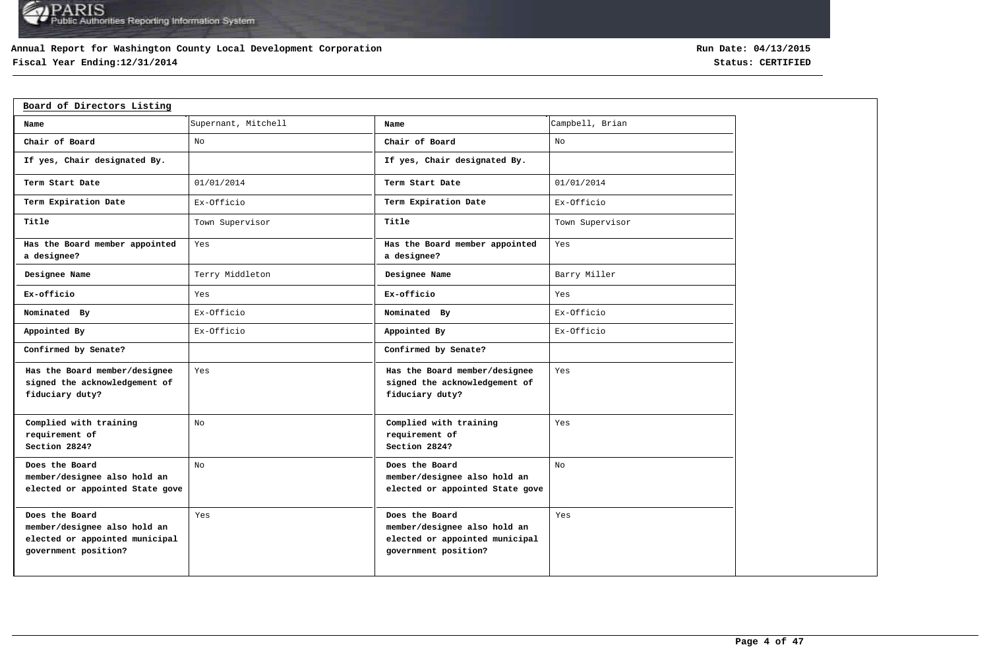### **Annual Report for Washington County Local Development Corporation**

## **Fiscal Year Ending:12/31/2014 Status: CERTIFIED**

| Board of Directors Listing                                                                               |                     |                                                                                                          |                 |  |  |  |  |  |  |  |  |
|----------------------------------------------------------------------------------------------------------|---------------------|----------------------------------------------------------------------------------------------------------|-----------------|--|--|--|--|--|--|--|--|
| Name                                                                                                     | Supernant, Mitchell | Name                                                                                                     | Campbell, Brian |  |  |  |  |  |  |  |  |
| Chair of Board                                                                                           | No                  | Chair of Board                                                                                           | No              |  |  |  |  |  |  |  |  |
| If yes, Chair designated By.                                                                             |                     | If yes, Chair designated By.                                                                             |                 |  |  |  |  |  |  |  |  |
| Term Start Date                                                                                          | 01/01/2014          | Term Start Date                                                                                          | 01/01/2014      |  |  |  |  |  |  |  |  |
| Term Expiration Date                                                                                     | Ex-Officio          | Term Expiration Date                                                                                     | Ex-Officio      |  |  |  |  |  |  |  |  |
| Title                                                                                                    | Town Supervisor     | Title                                                                                                    | Town Supervisor |  |  |  |  |  |  |  |  |
| Has the Board member appointed<br>a designee?                                                            | Yes                 | Has the Board member appointed<br>a designee?                                                            | Yes             |  |  |  |  |  |  |  |  |
| Designee Name                                                                                            | Terry Middleton     | Designee Name                                                                                            | Barry Miller    |  |  |  |  |  |  |  |  |
| Ex-officio                                                                                               | Yes                 | Ex-officio                                                                                               | Yes             |  |  |  |  |  |  |  |  |
| Nominated By                                                                                             | Ex-Officio          | Nominated By                                                                                             | Ex-Officio      |  |  |  |  |  |  |  |  |
| Appointed By                                                                                             | Ex-Officio          | Appointed By                                                                                             | Ex-Officio      |  |  |  |  |  |  |  |  |
| Confirmed by Senate?                                                                                     |                     | Confirmed by Senate?                                                                                     |                 |  |  |  |  |  |  |  |  |
| Has the Board member/designee<br>signed the acknowledgement of<br>fiduciary duty?                        | Yes                 | Has the Board member/designee<br>signed the acknowledgement of<br>fiduciary duty?                        | Yes             |  |  |  |  |  |  |  |  |
| Complied with training<br>requirement of<br>Section 2824?                                                | No                  | Complied with training<br>requirement of<br>Section 2824?                                                | Yes             |  |  |  |  |  |  |  |  |
| Does the Board<br>member/designee also hold an<br>elected or appointed State gove                        | No                  | Does the Board<br>member/designee also hold an<br>elected or appointed State gove                        | No.             |  |  |  |  |  |  |  |  |
| Does the Board<br>member/designee also hold an<br>elected or appointed municipal<br>government position? | Yes                 | Does the Board<br>member/designee also hold an<br>elected or appointed municipal<br>government position? | Yes             |  |  |  |  |  |  |  |  |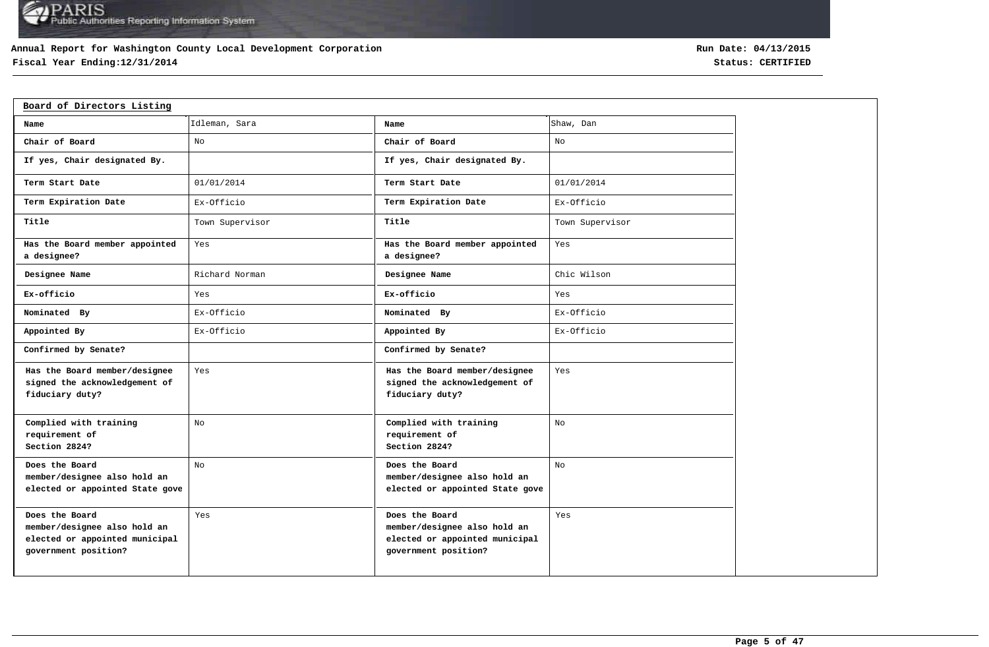### **Annual Report for Washington County Local Development Corporation**

## **Fiscal Year Ending:12/31/2014 Status: CERTIFIED**

| Board of Directors Listing                                                                               |                 |                                                                                                          |                 |
|----------------------------------------------------------------------------------------------------------|-----------------|----------------------------------------------------------------------------------------------------------|-----------------|
| Name                                                                                                     | Idleman, Sara   | Name                                                                                                     | Shaw, Dan       |
| Chair of Board                                                                                           | No              | Chair of Board                                                                                           | No              |
| If yes, Chair designated By.                                                                             |                 | If yes, Chair designated By.                                                                             |                 |
| Term Start Date                                                                                          | 01/01/2014      | Term Start Date                                                                                          | 01/01/2014      |
| Term Expiration Date                                                                                     | Ex-Officio      | Term Expiration Date                                                                                     | Ex-Officio      |
| Title                                                                                                    | Town Supervisor | Title                                                                                                    | Town Supervisor |
| Has the Board member appointed<br>a designee?                                                            | Yes             | Has the Board member appointed<br>a designee?                                                            | Yes             |
| Designee Name                                                                                            | Richard Norman  | Designee Name                                                                                            | Chic Wilson     |
| Ex-officio                                                                                               | Yes             | Ex-officio                                                                                               | Yes             |
| Nominated By                                                                                             | Ex-Officio      | Nominated By                                                                                             | Ex-Officio      |
| Appointed By                                                                                             | Ex-Officio      | Appointed By                                                                                             | Ex-Officio      |
| Confirmed by Senate?                                                                                     |                 | Confirmed by Senate?                                                                                     |                 |
| Has the Board member/designee<br>signed the acknowledgement of<br>fiduciary duty?                        | Yes             | Has the Board member/designee<br>signed the acknowledgement of<br>fiduciary duty?                        | Yes             |
| Complied with training<br>requirement of<br>Section 2824?                                                | No              | Complied with training<br>requirement of<br>Section 2824?                                                | No              |
| Does the Board<br>member/designee also hold an<br>elected or appointed State gove                        | No              | Does the Board<br>member/designee also hold an<br>elected or appointed State gove                        | No.             |
| Does the Board<br>member/designee also hold an<br>elected or appointed municipal<br>government position? | Yes             | Does the Board<br>member/designee also hold an<br>elected or appointed municipal<br>government position? | Yes             |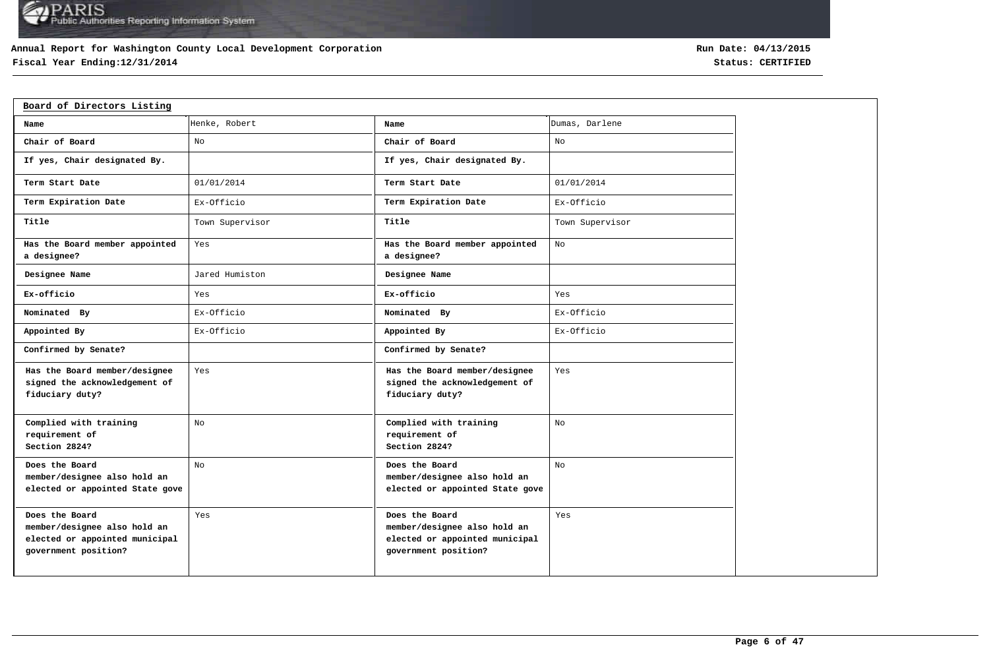### **Annual Report for Washington County Local Development Corporation**

## **Fiscal Year Ending:12/31/2014 Status: CERTIFIED**

| Board of Directors Listing                                                                               |                 |                                                                                                          |                 |
|----------------------------------------------------------------------------------------------------------|-----------------|----------------------------------------------------------------------------------------------------------|-----------------|
| Name                                                                                                     | Henke, Robert   | Name                                                                                                     | Dumas, Darlene  |
| Chair of Board                                                                                           | No              | Chair of Board                                                                                           | No              |
| If yes, Chair designated By.                                                                             |                 | If yes, Chair designated By.                                                                             |                 |
| Term Start Date                                                                                          | 01/01/2014      | Term Start Date                                                                                          | 01/01/2014      |
| Term Expiration Date                                                                                     | Ex-Officio      | Term Expiration Date                                                                                     | Ex-Officio      |
| Title                                                                                                    | Town Supervisor | Title                                                                                                    | Town Supervisor |
| Has the Board member appointed<br>a designee?                                                            | Yes             | Has the Board member appointed<br>a designee?                                                            | No              |
| Designee Name                                                                                            | Jared Humiston  | Designee Name                                                                                            |                 |
| Ex-officio                                                                                               | Yes             | Ex-officio                                                                                               | Yes             |
| Nominated By                                                                                             | Ex-Officio      | Nominated By                                                                                             | Ex-Officio      |
| Appointed By                                                                                             | Ex-Officio      | Appointed By                                                                                             | Ex-Officio      |
| Confirmed by Senate?                                                                                     |                 | Confirmed by Senate?                                                                                     |                 |
| Has the Board member/designee<br>signed the acknowledgement of<br>fiduciary duty?                        | Yes             | Has the Board member/designee<br>signed the acknowledgement of<br>fiduciary duty?                        | Yes             |
| Complied with training<br>requirement of<br>Section 2824?                                                | No              | Complied with training<br>requirement of<br>Section 2824?                                                | No              |
| Does the Board<br>member/designee also hold an<br>elected or appointed State gove                        | No              | Does the Board<br>member/designee also hold an<br>elected or appointed State gove                        | No              |
| Does the Board<br>member/designee also hold an<br>elected or appointed municipal<br>government position? | Yes             | Does the Board<br>member/designee also hold an<br>elected or appointed municipal<br>government position? | Yes             |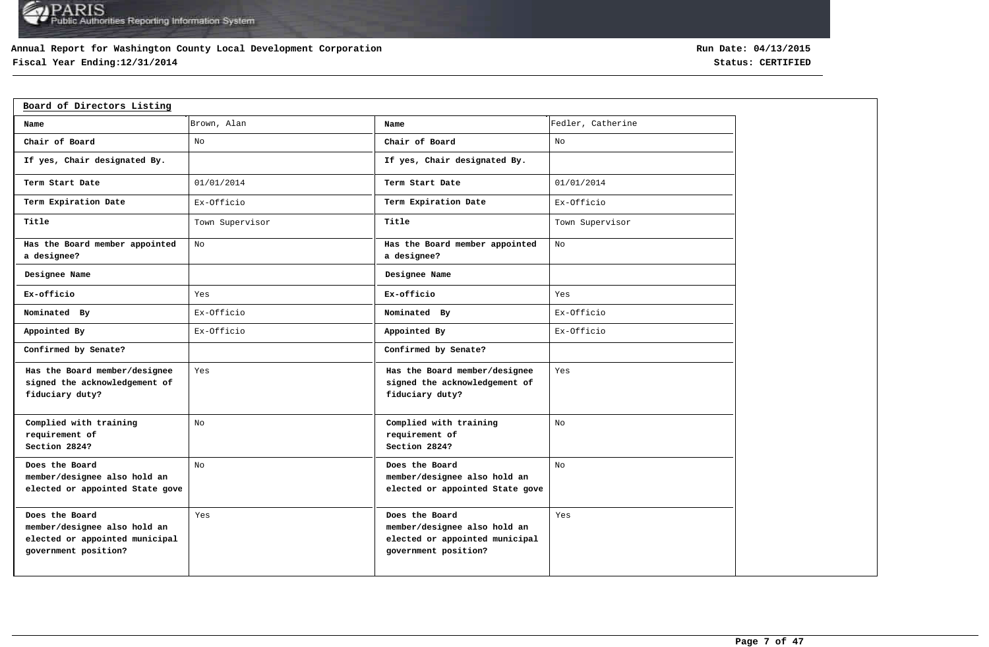### **Annual Report for Washington County Local Development Corporation**

## **Fiscal Year Ending:12/31/2014 Status: CERTIFIED**

| Board of Directors Listing                                                                               |                 |                                                                                                          |                   |  |  |  |  |  |  |  |
|----------------------------------------------------------------------------------------------------------|-----------------|----------------------------------------------------------------------------------------------------------|-------------------|--|--|--|--|--|--|--|
| Name                                                                                                     | Brown, Alan     | Name                                                                                                     | Fedler, Catherine |  |  |  |  |  |  |  |
| Chair of Board                                                                                           | No              | Chair of Board                                                                                           | No                |  |  |  |  |  |  |  |
| If yes, Chair designated By.                                                                             |                 | If yes, Chair designated By.                                                                             |                   |  |  |  |  |  |  |  |
| Term Start Date                                                                                          | 01/01/2014      | Term Start Date                                                                                          | 01/01/2014        |  |  |  |  |  |  |  |
| Term Expiration Date                                                                                     | Ex-Officio      | Term Expiration Date                                                                                     | Ex-Officio        |  |  |  |  |  |  |  |
| Title                                                                                                    | Town Supervisor | Title                                                                                                    | Town Supervisor   |  |  |  |  |  |  |  |
| Has the Board member appointed<br>a designee?                                                            | No              | Has the Board member appointed<br>a designee?                                                            | No                |  |  |  |  |  |  |  |
| Designee Name                                                                                            |                 | Designee Name                                                                                            |                   |  |  |  |  |  |  |  |
| Ex-officio                                                                                               | Yes             | Ex-officio                                                                                               | Yes               |  |  |  |  |  |  |  |
| Nominated By                                                                                             | Ex-Officio      | Nominated By                                                                                             | Ex-Officio        |  |  |  |  |  |  |  |
| Appointed By                                                                                             | Ex-Officio      | Appointed By                                                                                             | Ex-Officio        |  |  |  |  |  |  |  |
| Confirmed by Senate?                                                                                     |                 | Confirmed by Senate?                                                                                     |                   |  |  |  |  |  |  |  |
| Has the Board member/designee<br>signed the acknowledgement of<br>fiduciary duty?                        | Yes             | Has the Board member/designee<br>signed the acknowledgement of<br>fiduciary duty?                        | Yes               |  |  |  |  |  |  |  |
| Complied with training<br>requirement of<br>Section 2824?                                                | No              | Complied with training<br>requirement of<br>Section 2824?                                                | No                |  |  |  |  |  |  |  |
| Does the Board<br>member/designee also hold an<br>elected or appointed State gove                        | No              | Does the Board<br>member/designee also hold an<br>elected or appointed State gove                        | No                |  |  |  |  |  |  |  |
| Does the Board<br>member/designee also hold an<br>elected or appointed municipal<br>government position? | Yes             | Does the Board<br>member/designee also hold an<br>elected or appointed municipal<br>government position? | Yes               |  |  |  |  |  |  |  |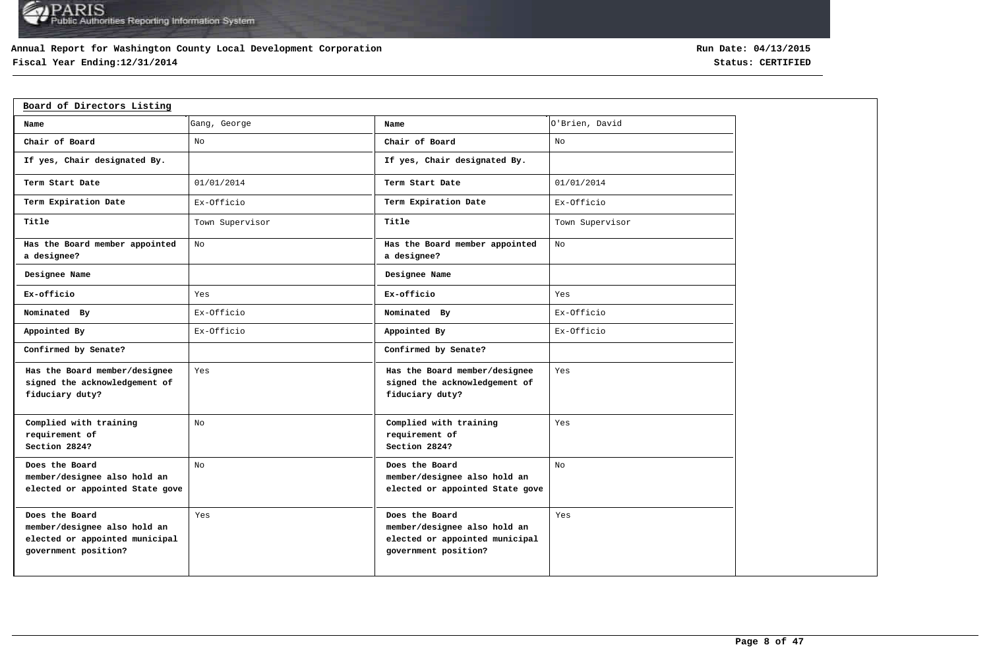### **Annual Report for Washington County Local Development Corporation**

## **Fiscal Year Ending:12/31/2014 Status: CERTIFIED**

| Board of Directors Listing                                                                               |                 |                                                                                                          |                 |
|----------------------------------------------------------------------------------------------------------|-----------------|----------------------------------------------------------------------------------------------------------|-----------------|
| Name                                                                                                     | Gang, George    | Name                                                                                                     | O'Brien, David  |
| Chair of Board                                                                                           | No              | Chair of Board                                                                                           | No              |
| If yes, Chair designated By.                                                                             |                 | If yes, Chair designated By.                                                                             |                 |
| Term Start Date                                                                                          | 01/01/2014      | Term Start Date                                                                                          | 01/01/2014      |
| Term Expiration Date                                                                                     | Ex-Officio      | Term Expiration Date                                                                                     | Ex-Officio      |
| Title                                                                                                    | Town Supervisor | Title                                                                                                    | Town Supervisor |
| Has the Board member appointed<br>a designee?                                                            | No              | Has the Board member appointed<br>a designee?                                                            | No              |
| Designee Name                                                                                            |                 | Designee Name                                                                                            |                 |
| Ex-officio                                                                                               | Yes             | Ex-officio                                                                                               | Yes             |
| Nominated By                                                                                             | Ex-Officio      | Nominated By                                                                                             | Ex-Officio      |
| Appointed By                                                                                             | Ex-Officio      | Appointed By                                                                                             | Ex-Officio      |
| Confirmed by Senate?                                                                                     |                 | Confirmed by Senate?                                                                                     |                 |
| Has the Board member/designee<br>signed the acknowledgement of<br>fiduciary duty?                        | Yes             | Has the Board member/designee<br>signed the acknowledgement of<br>fiduciary duty?                        | Yes             |
| Complied with training<br>requirement of<br>Section 2824?                                                | No              | Complied with training<br>requirement of<br>Section 2824?                                                | Yes             |
| Does the Board<br>member/designee also hold an<br>elected or appointed State gove                        | No              | Does the Board<br>member/designee also hold an<br>elected or appointed State gove                        | No              |
| Does the Board<br>member/designee also hold an<br>elected or appointed municipal<br>government position? | Yes             | Does the Board<br>member/designee also hold an<br>elected or appointed municipal<br>government position? | Yes             |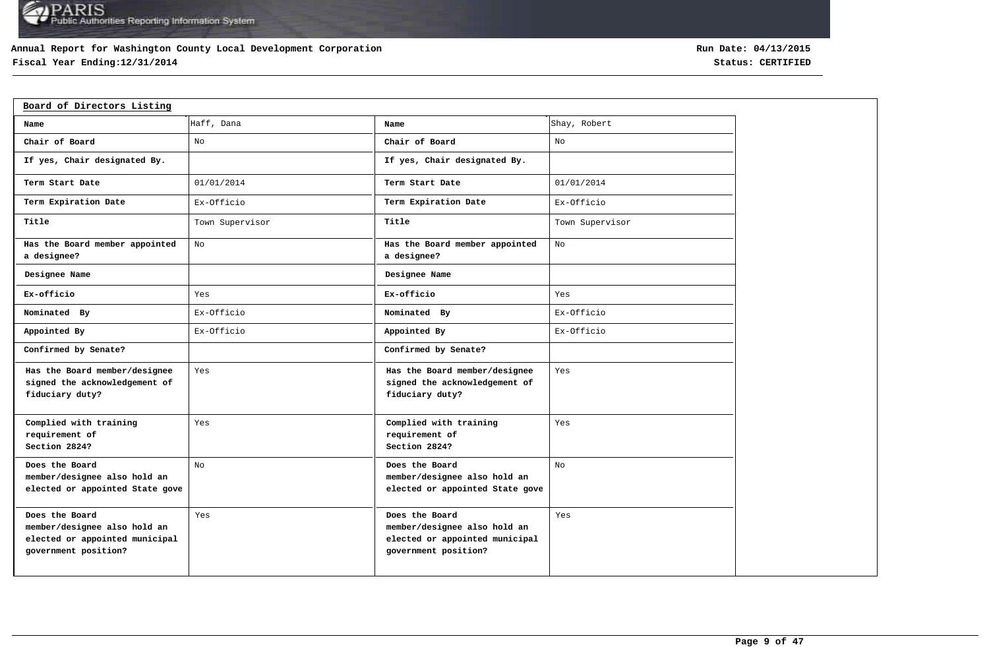### **Annual Report for Washington County Local Development Corporation**

## **Fiscal Year Ending:12/31/2014 Status: CERTIFIED**

| Board of Directors Listing                                                                               |                 |                                                                                                          |                 |
|----------------------------------------------------------------------------------------------------------|-----------------|----------------------------------------------------------------------------------------------------------|-----------------|
| Name                                                                                                     | Haff, Dana      | Name                                                                                                     | Shay, Robert    |
| Chair of Board                                                                                           | No              | Chair of Board                                                                                           | No              |
| If yes, Chair designated By.                                                                             |                 | If yes, Chair designated By.                                                                             |                 |
| Term Start Date                                                                                          | 01/01/2014      | Term Start Date                                                                                          | 01/01/2014      |
| Term Expiration Date                                                                                     | Ex-Officio      | Term Expiration Date                                                                                     | Ex-Officio      |
| Title                                                                                                    | Town Supervisor | Title                                                                                                    | Town Supervisor |
| Has the Board member appointed<br>a designee?                                                            | No              | Has the Board member appointed<br>a designee?                                                            | No              |
| Designee Name                                                                                            |                 | Designee Name                                                                                            |                 |
| Ex-officio                                                                                               | Yes             | Ex-officio                                                                                               | Yes             |
| Nominated By                                                                                             | Ex-Officio      | Nominated By                                                                                             | Ex-Officio      |
| Appointed By                                                                                             | Ex-Officio      | Appointed By                                                                                             | Ex-Officio      |
| Confirmed by Senate?                                                                                     |                 | Confirmed by Senate?                                                                                     |                 |
| Has the Board member/designee<br>signed the acknowledgement of<br>fiduciary duty?                        | Yes             | Has the Board member/designee<br>signed the acknowledgement of<br>fiduciary duty?                        | Yes             |
| Complied with training<br>requirement of<br>Section 2824?                                                | Yes             | Complied with training<br>requirement of<br>Section 2824?                                                | Yes             |
| Does the Board<br>member/designee also hold an<br>elected or appointed State gove                        | No              | Does the Board<br>member/designee also hold an<br>elected or appointed State gove                        | No              |
| Does the Board<br>member/designee also hold an<br>elected or appointed municipal<br>government position? | Yes             | Does the Board<br>member/designee also hold an<br>elected or appointed municipal<br>government position? | Yes             |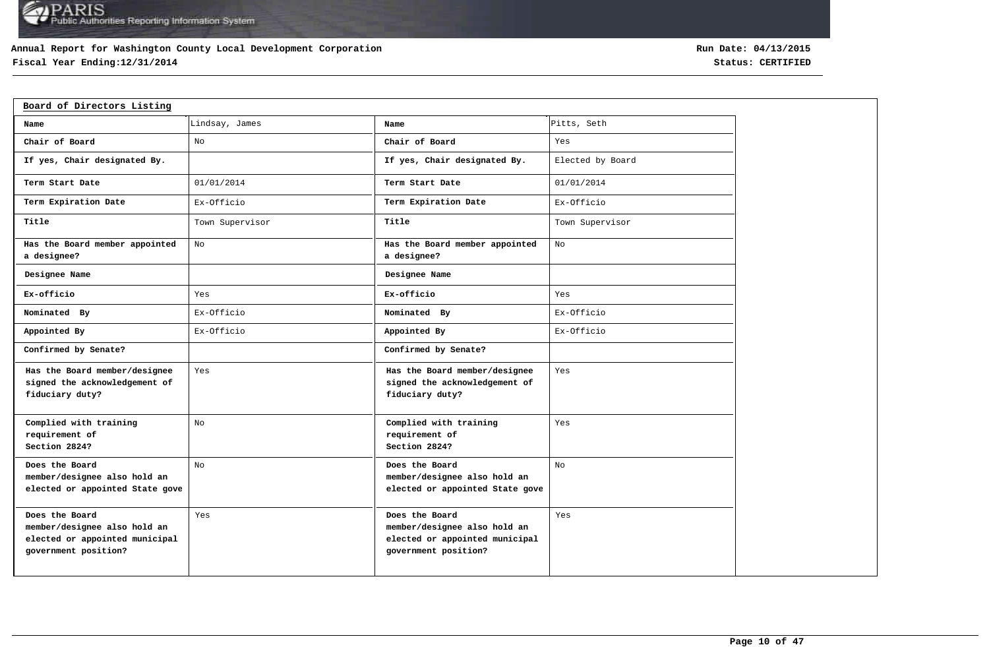### **Annual Report for Washington County Local Development Corporation**

## **Fiscal Year Ending:12/31/2014 Status: CERTIFIED**

| Board of Directors Listing                                                                               |                 |                                                                                                          |                  |
|----------------------------------------------------------------------------------------------------------|-----------------|----------------------------------------------------------------------------------------------------------|------------------|
| Name                                                                                                     | Lindsay, James  | Name                                                                                                     | Pitts, Seth      |
| Chair of Board                                                                                           | No              | Chair of Board                                                                                           | Yes              |
| If yes, Chair designated By.                                                                             |                 | If yes, Chair designated By.                                                                             | Elected by Board |
| Term Start Date                                                                                          | 01/01/2014      | Term Start Date                                                                                          | 01/01/2014       |
| Term Expiration Date                                                                                     | Ex-Officio      | Term Expiration Date                                                                                     | Ex-Officio       |
| Title                                                                                                    | Town Supervisor | Title                                                                                                    | Town Supervisor  |
| Has the Board member appointed<br>a designee?                                                            | No              | Has the Board member appointed<br>a designee?                                                            | No               |
| Designee Name                                                                                            |                 | Designee Name                                                                                            |                  |
| Ex-officio                                                                                               | Yes             | Ex-officio                                                                                               | Yes              |
| Nominated By                                                                                             | Ex-Officio      | Nominated By                                                                                             | Ex-Officio       |
| Appointed By                                                                                             | Ex-Officio      | Appointed By                                                                                             | Ex-Officio       |
| Confirmed by Senate?                                                                                     |                 | Confirmed by Senate?                                                                                     |                  |
| Has the Board member/designee<br>signed the acknowledgement of<br>fiduciary duty?                        | Yes             | Has the Board member/designee<br>signed the acknowledgement of<br>fiduciary duty?                        | Yes              |
| Complied with training<br>requirement of<br>Section 2824?                                                | No              | Complied with training<br>requirement of<br>Section 2824?                                                | Yes              |
| Does the Board<br>member/designee also hold an<br>elected or appointed State gove                        | No              | Does the Board<br>member/designee also hold an<br>elected or appointed State gove                        | No               |
| Does the Board<br>member/designee also hold an<br>elected or appointed municipal<br>government position? | Yes             | Does the Board<br>member/designee also hold an<br>elected or appointed municipal<br>government position? | Yes              |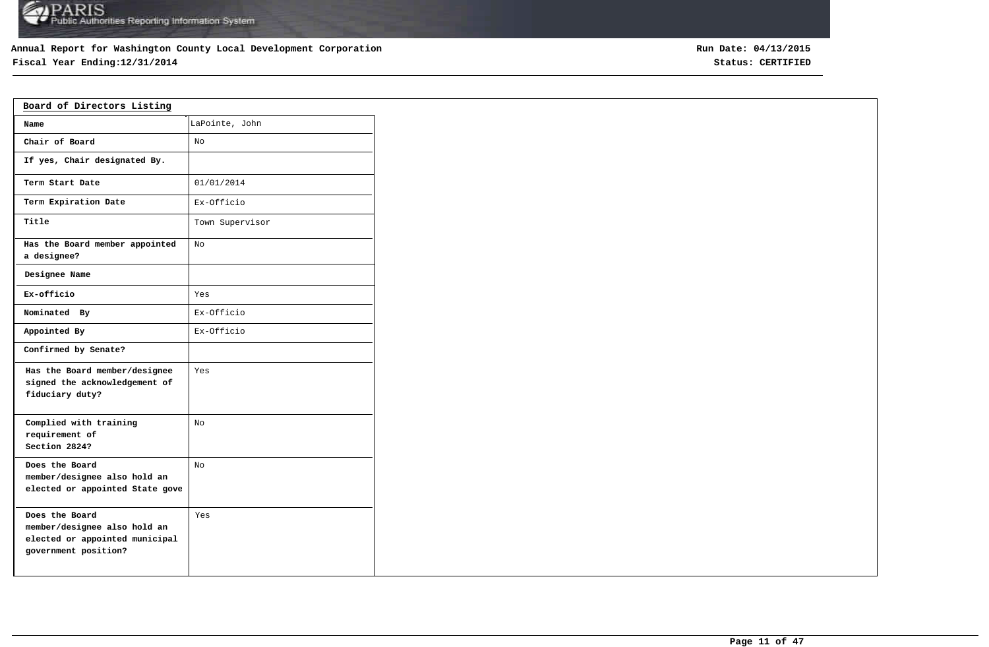## **Annual Report for Washington County Local Development Corporation**

## **Fiscal Year Ending:12/31/2014 Status: CERTIFIED**

| Board of Directors Listing                                                                               |                 |  |
|----------------------------------------------------------------------------------------------------------|-----------------|--|
| Name                                                                                                     | LaPointe, John  |  |
| Chair of Board                                                                                           | No              |  |
| If yes, Chair designated By.                                                                             |                 |  |
| Term Start Date                                                                                          | 01/01/2014      |  |
| Term Expiration Date                                                                                     | Ex-Officio      |  |
| Title                                                                                                    | Town Supervisor |  |
| Has the Board member appointed<br>a designee?                                                            | No              |  |
| Designee Name                                                                                            |                 |  |
| Ex-officio                                                                                               | Yes             |  |
| Nominated By                                                                                             | Ex-Officio      |  |
| Appointed By                                                                                             | Ex-Officio      |  |
| Confirmed by Senate?                                                                                     |                 |  |
| Has the Board member/designee<br>signed the acknowledgement of<br>fiduciary duty?                        | Yes             |  |
| Complied with training<br>requirement of<br>Section 2824?                                                | No              |  |
| Does the Board<br>member/designee also hold an<br>elected or appointed State gove                        | No.             |  |
| Does the Board<br>member/designee also hold an<br>elected or appointed municipal<br>government position? | Yes             |  |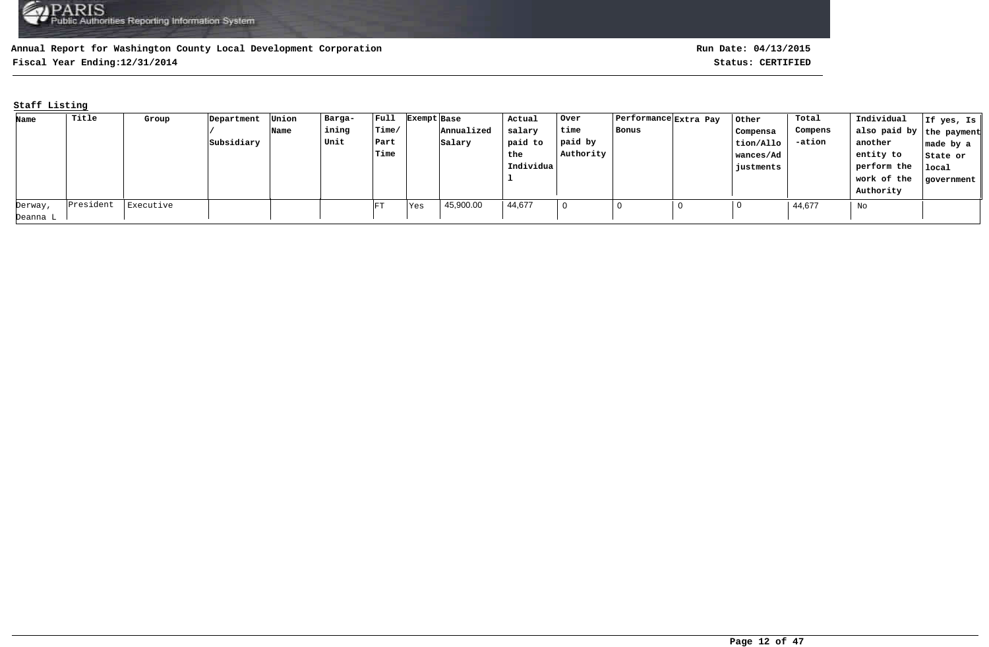**Fiscal Year Ending:12/31/2014 Status: CERTIFIED**

### **Staff Listing**

| Name     | Title     | Group     | Department | Union | Barga- | $ $ Full | Exempt Base |            | Actual    | Over      | Performance Extra Pay | Other     | Total   | Individual               | If yes, Is |
|----------|-----------|-----------|------------|-------|--------|----------|-------------|------------|-----------|-----------|-----------------------|-----------|---------|--------------------------|------------|
|          |           |           |            | Name  | ining  | Time/    |             | Annualized | salary    | time      | Bonus                 | Compensa  | Compens | also paid by the payment |            |
|          |           |           | Subsidiary |       | Unit   | Part     |             | Salary     | paid to   | paid by   |                       | tion/Allo | -ation  | another                  | made by a  |
|          |           |           |            |       |        | Time     |             |            | the       | Authority |                       | wances/Ad |         | entity to                | State or   |
|          |           |           |            |       |        |          |             |            | Individua |           |                       | justments |         | perform the              | local      |
|          |           |           |            |       |        |          |             |            |           |           |                       |           |         | work of the              | government |
|          |           |           |            |       |        |          |             |            |           |           |                       |           |         | Authority                |            |
| Derway,  | President | Executive |            |       |        | FT       | Yes         | 45,900.00  | 44,677    |           |                       |           | 44,677  | No                       |            |
| Deanna L |           |           |            |       |        |          |             |            |           |           |                       |           |         |                          |            |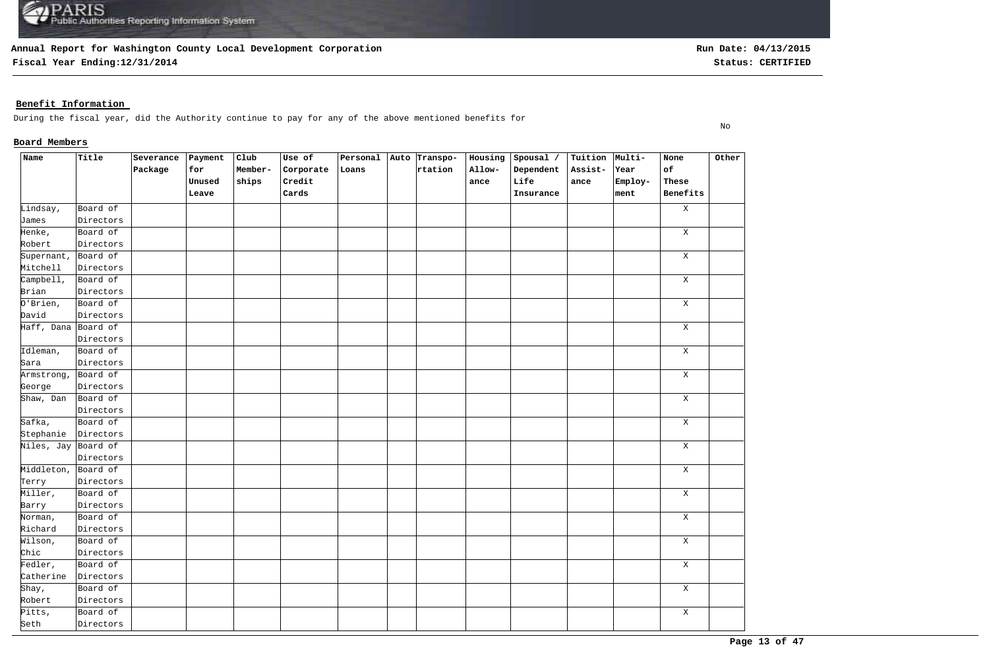**Fiscal Year Ending:12/31/2014 Status: CERTIFIED**

### **Benefit Information**

During the fiscal year, did the Authority continue to pay for any of the above mentioned benefits for

### **Board Members**

| Name                         | Title     | Severance | Payment | $_{\texttt{Club}}$ | Use of    | Personal Auto Transpo- |         | Housing | Spousal / | Tuition Multi- |         | None         | Other |
|------------------------------|-----------|-----------|---------|--------------------|-----------|------------------------|---------|---------|-----------|----------------|---------|--------------|-------|
|                              |           | Package   | for     | Member-            | Corporate | Loans                  | rtation | Allow-  | Dependent | Assist-        | Year    | of           |       |
|                              |           |           | Unused  | ships              | Credit    |                        |         | ance    | Life      | ance           | Employ- | These        |       |
|                              |           |           | Leave   |                    | Cards     |                        |         |         | Insurance |                | ment    | Benefits     |       |
| Lindsay,                     | Board of  |           |         |                    |           |                        |         |         |           |                |         | $\, {\rm X}$ |       |
| James                        | Directors |           |         |                    |           |                        |         |         |           |                |         |              |       |
| Henke,                       | Board of  |           |         |                    |           |                        |         |         |           |                |         | $\,$ X       |       |
| Robert                       | Directors |           |         |                    |           |                        |         |         |           |                |         |              |       |
| Supernant,                   | Board of  |           |         |                    |           |                        |         |         |           |                |         | $\mathbf X$  |       |
| Mitchell                     | Directors |           |         |                    |           |                        |         |         |           |                |         |              |       |
| Campbell,                    | Board of  |           |         |                    |           |                        |         |         |           |                |         | $\mathbf X$  |       |
| Brian                        | Directors |           |         |                    |           |                        |         |         |           |                |         |              |       |
| $0'$ Brien,                  | Board of  |           |         |                    |           |                        |         |         |           |                |         | $\mathbf X$  |       |
| David                        | Directors |           |         |                    |           |                        |         |         |           |                |         |              |       |
| Haff, Dana Board of          |           |           |         |                    |           |                        |         |         |           |                |         | $\mathbf X$  |       |
|                              | Directors |           |         |                    |           |                        |         |         |           |                |         |              |       |
| Idleman,                     | Board of  |           |         |                    |           |                        |         |         |           |                |         | $\mathbf X$  |       |
| Sara                         | Directors |           |         |                    |           |                        |         |         |           |                |         |              |       |
| Armstrong,                   | Board of  |           |         |                    |           |                        |         |         |           |                |         | $\,$ X       |       |
| George                       | Directors |           |         |                    |           |                        |         |         |           |                |         |              |       |
| Shaw, Dan                    | Board of  |           |         |                    |           |                        |         |         |           |                |         | Χ            |       |
|                              | Directors |           |         |                    |           |                        |         |         |           |                |         |              |       |
| Safka,                       | Board of  |           |         |                    |           |                        |         |         |           |                |         | $\mathbf X$  |       |
| Stephanie                    | Directors |           |         |                    |           |                        |         |         |           |                |         |              |       |
| Niles, Jay Board of          |           |           |         |                    |           |                        |         |         |           |                |         | $\mathbf X$  |       |
|                              | Directors |           |         |                    |           |                        |         |         |           |                |         |              |       |
| Middleton, Board of          |           |           |         |                    |           |                        |         |         |           |                |         | $\mathbf X$  |       |
| Terry                        | Directors |           |         |                    |           |                        |         |         |           |                |         |              |       |
| Miller,                      | Board of  |           |         |                    |           |                        |         |         |           |                |         | $\mathbf X$  |       |
| Barry                        | Directors |           |         |                    |           |                        |         |         |           |                |         |              |       |
| Norman,                      | Board of  |           |         |                    |           |                        |         |         |           |                |         | $\mathbf X$  |       |
| Richard                      | Directors |           |         |                    |           |                        |         |         |           |                |         |              |       |
| Wilson,                      | Board of  |           |         |                    |           |                        |         |         |           |                |         | $\mathbf X$  |       |
| Chic                         | Directors |           |         |                    |           |                        |         |         |           |                |         |              |       |
| $\overline{\text{Fedler}}$ , | Board of  |           |         |                    |           |                        |         |         |           |                |         | $\mathbf X$  |       |
| Catherine                    | Directors |           |         |                    |           |                        |         |         |           |                |         |              |       |
| Shay,                        | Board of  |           |         |                    |           |                        |         |         |           |                |         | $\mathbf X$  |       |
| Robert                       | Directors |           |         |                    |           |                        |         |         |           |                |         |              |       |
| Pitts,                       | Board of  |           |         |                    |           |                        |         |         |           |                |         | $\mathbf X$  |       |
| Seth                         | Directors |           |         |                    |           |                        |         |         |           |                |         |              |       |

No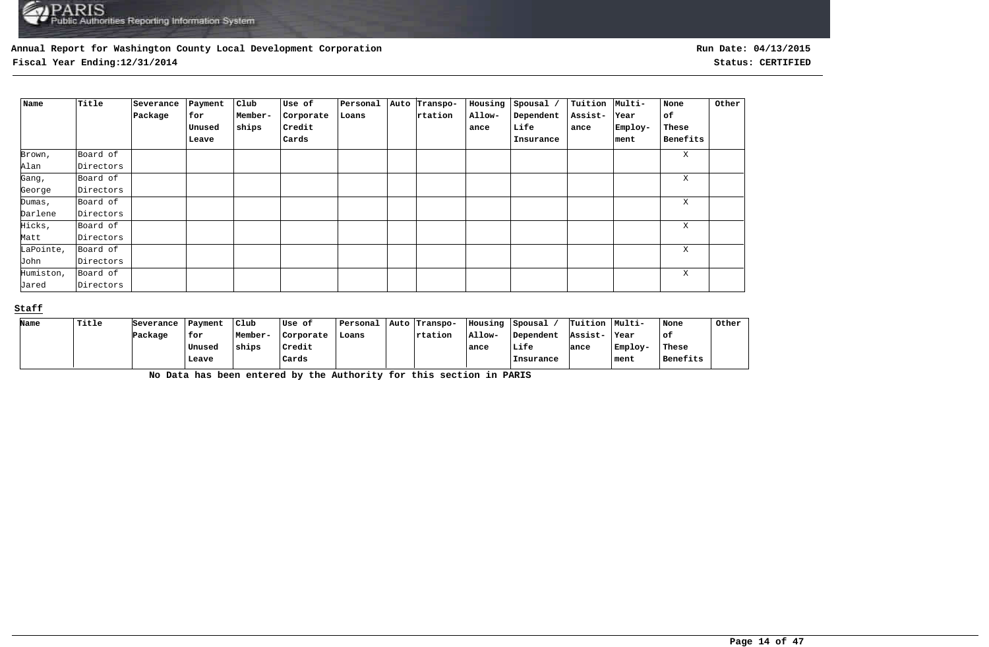**Fiscal Year Ending:12/31/2014 Status: CERTIFIED**

| Name      | Title     | Severance | Payment | Club    | Use of    | Personal | Auto Transpo- | Housing | Spousal / | Tuition Multi- |         | None     | Other |
|-----------|-----------|-----------|---------|---------|-----------|----------|---------------|---------|-----------|----------------|---------|----------|-------|
|           |           | Package   | for     | Member- | Corporate | Loans    | rtation       | Allow-  | Dependent | Assist-        | Year    | of       |       |
|           |           |           | Unused  | ships   | Credit    |          |               | ance    | Life      | ance           | Employ- | These    |       |
|           |           |           | Leave   |         | Cards     |          |               |         | Insurance |                | ment    | Benefits |       |
| Brown,    | Board of  |           |         |         |           |          |               |         |           |                |         | X        |       |
| Alan      | Directors |           |         |         |           |          |               |         |           |                |         |          |       |
| Gang,     | Board of  |           |         |         |           |          |               |         |           |                |         | X        |       |
| George    | Directors |           |         |         |           |          |               |         |           |                |         |          |       |
| Dumas,    | Board of  |           |         |         |           |          |               |         |           |                |         | X        |       |
| Darlene   | Directors |           |         |         |           |          |               |         |           |                |         |          |       |
| Hicks,    | Board of  |           |         |         |           |          |               |         |           |                |         | X        |       |
| Matt      | Directors |           |         |         |           |          |               |         |           |                |         |          |       |
| LaPointe, | Board of  |           |         |         |           |          |               |         |           |                |         | Χ        |       |
| John      | Directors |           |         |         |           |          |               |         |           |                |         |          |       |
| Humiston, | Board of  |           |         |         |           |          |               |         |           |                |         | X        |       |
| Jared     | Directors |           |         |         |           |          |               |         |           |                |         |          |       |

### **Staff**

| Name | Title | Severance | Payment | Club    | Use of    | Personal | Auto Transpo- | Housing | Spousal   | Tuition Multi- |         | None     | Other |
|------|-------|-----------|---------|---------|-----------|----------|---------------|---------|-----------|----------------|---------|----------|-------|
|      |       | Package   | for     | Member- | Corporate | Loans    | rtation       | Allow-  | Dependent | Assist-        | ∣Year   | of:      |       |
|      |       |           | Unused  | ships   | Credit    |          |               | ance    | Life      | ance           | Employ- | These    |       |
|      |       |           | Leave   |         | Cards     |          |               |         | Insurance |                | ment    | Benefits |       |

**No Data has been entered by the Authority for this section in PARIS**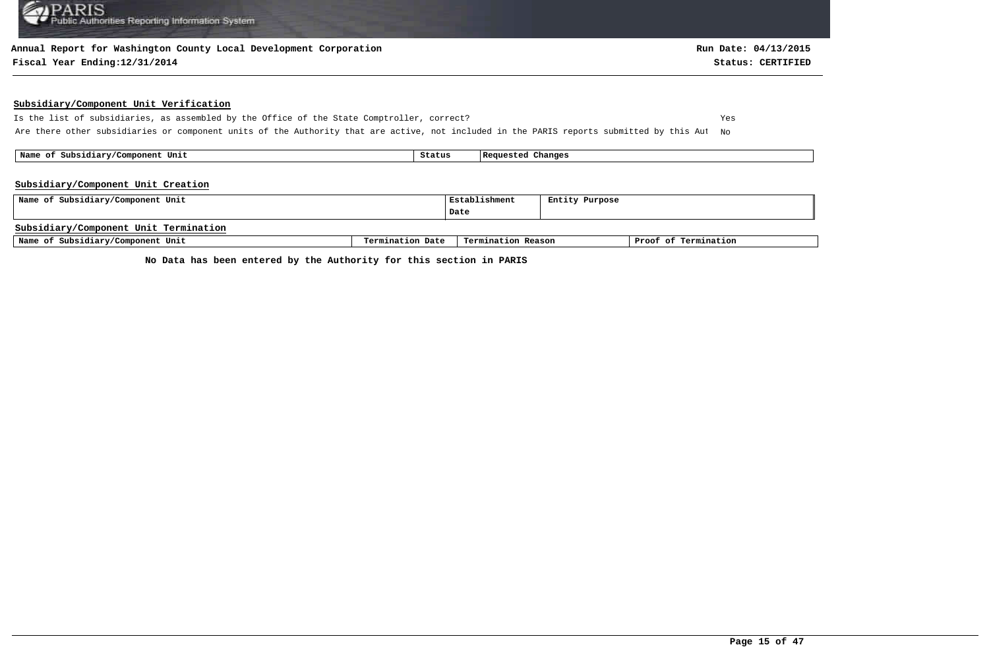### **Annual Report for Washington County Local Development Corporation**

### **Fiscal Year Ending:12/31/2014 Status: CERTIFIED**

### **Subsidiary/Component Unit Verification**

Is the list of subsidiaries, as assembled by the Office of the State Comptroller, correct? Yes Are there other subsidiaries or component units of the Authority that are active, not included in the PARIS reports submitted by this Aut No

 **Name of Subsidiary/Component Unit Status Requested Changes** 

#### **Subsidiary/Component Unit Creation**

| Name of Subsidiary/Component Unit     | Establishment    | Entity Purpose     |  |                      |
|---------------------------------------|------------------|--------------------|--|----------------------|
|                                       |                  | Date               |  |                      |
| Subsidiary/Component Unit Termination |                  |                    |  |                      |
| Name of Subsidiary/Component Unit     | Termination Date | Termination Reason |  | Proof of Termination |

**No Data has been entered by the Authority for this section in PARIS**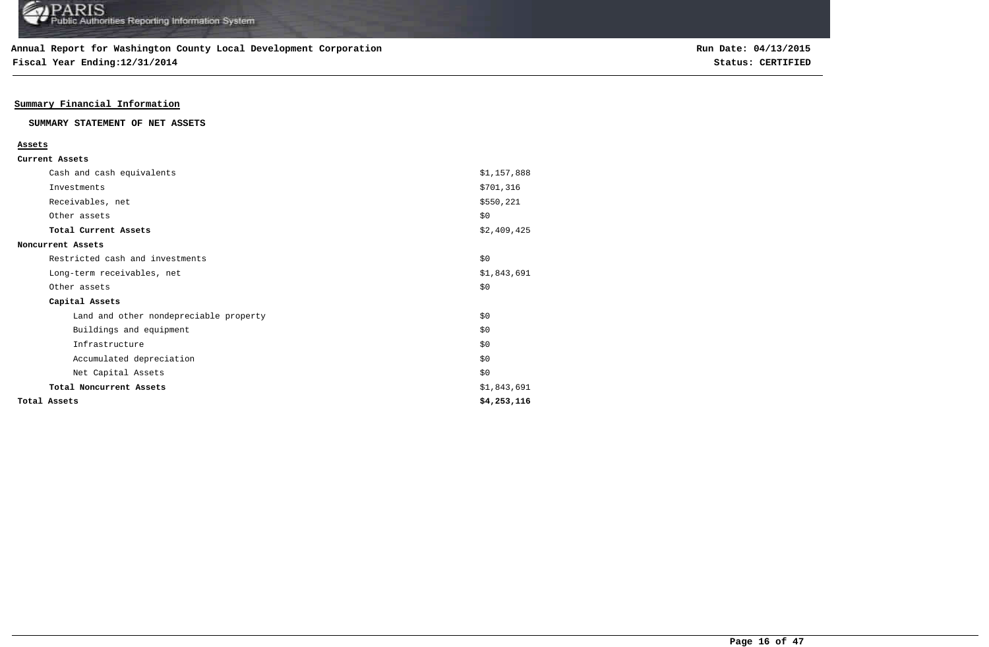**Fiscal Year Ending:12/31/2014 Status: CERTIFIED**

### **Summary Financial Information**

### **SUMMARY STATEMENT OF NET ASSETS**

| ۰,<br>٩ |  |
|---------|--|
|         |  |

| Total Assets                           | \$4,253,116 |
|----------------------------------------|-------------|
| Total Noncurrent Assets                | \$1,843,691 |
| Net Capital Assets                     | \$0         |
| Accumulated depreciation               | \$0         |
| Infrastructure                         | \$0         |
| Buildings and equipment                | \$0         |
| Land and other nondepreciable property | \$0         |
| Capital Assets                         |             |
| Other assets                           | \$0         |
| Long-term receivables, net             | \$1,843,691 |
| Restricted cash and investments        | \$0         |
| Noncurrent Assets                      |             |
| Total Current Assets                   | \$2,409,425 |
| Other assets                           | \$0         |
| Receivables, net                       | \$550,221   |
| Investments                            | \$701,316   |
| Cash and cash equivalents              | \$1,157,888 |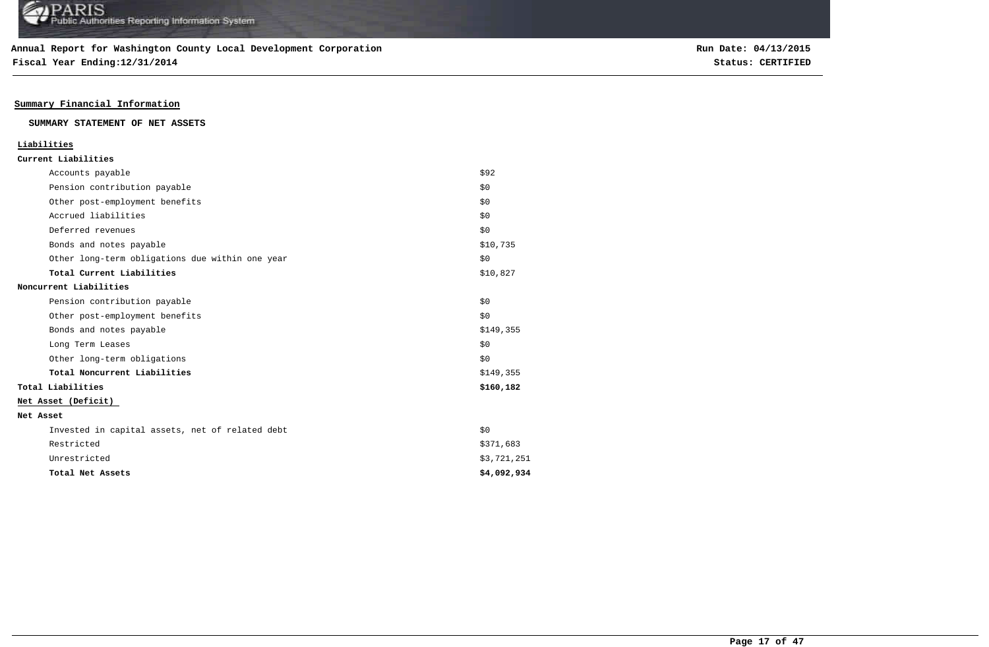**Fiscal Year Ending:12/31/2014 Status: CERTIFIED**

### **Summary Financial Information**

### **SUMMARY STATEMENT OF NET ASSETS**

| Liabilities                                     |             |
|-------------------------------------------------|-------------|
| Current Liabilities                             |             |
| Accounts payable                                | \$92        |
| Pension contribution payable                    | \$0         |
| Other post-employment benefits                  | \$0         |
| Accrued liabilities                             | \$0         |
| Deferred revenues                               | \$0         |
| Bonds and notes payable                         | \$10,735    |
| Other long-term obligations due within one year | \$0         |
| Total Current Liabilities                       | \$10,827    |
| Noncurrent Liabilities                          |             |
| Pension contribution payable                    | \$0         |
| Other post-employment benefits                  | \$0         |
| Bonds and notes payable                         | \$149,355   |
| Long Term Leases                                | \$0         |
| Other long-term obligations                     | \$0         |
| Total Noncurrent Liabilities                    | \$149,355   |
| Total Liabilities                               | \$160,182   |
| Net Asset (Deficit)                             |             |
| Net Asset                                       |             |
| Invested in capital assets, net of related debt | \$0         |
| Restricted                                      | \$371,683   |
| Unrestricted                                    | \$3,721,251 |
| Total Net Assets                                | \$4,092,934 |
|                                                 |             |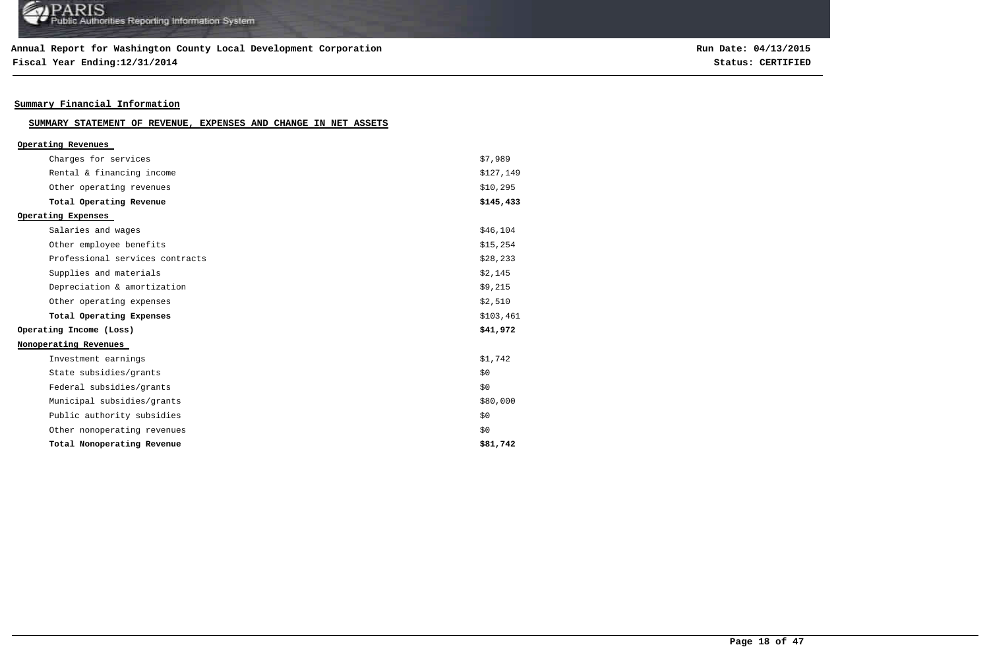### **Annual Report for Washington County Local Development Corporation**

**Fiscal Year Ending:12/31/2014 Status: CERTIFIED**

## **Summary Financial Information**

| SUMMARY STATEMENT OF REVENUE, EXPENSES AND CHANGE IN NET ASSETS |  |  |  |  |  |  |  |  |
|-----------------------------------------------------------------|--|--|--|--|--|--|--|--|
|-----------------------------------------------------------------|--|--|--|--|--|--|--|--|

| Operating Revenues              |           |
|---------------------------------|-----------|
| Charges for services            | \$7,989   |
| Rental & financing income       | \$127,149 |
| Other operating revenues        | \$10,295  |
| Total Operating Revenue         | \$145,433 |
| Operating Expenses              |           |
| Salaries and wages              | \$46,104  |
| Other employee benefits         | \$15,254  |
| Professional services contracts | \$28,233  |
| Supplies and materials          | \$2,145   |
| Depreciation & amortization     | \$9,215   |
| Other operating expenses        | \$2,510   |
| Total Operating Expenses        | \$103,461 |
| Operating Income (Loss)         | \$41,972  |
| Nonoperating Revenues           |           |
| Investment earnings             | \$1,742   |
| State subsidies/grants          | \$0       |
| Federal subsidies/grants        | \$0       |
| Municipal subsidies/grants      | \$80,000  |
| Public authority subsidies      | \$0       |
| Other nonoperating revenues     | \$0       |
| Total Nonoperating Revenue      | \$81,742  |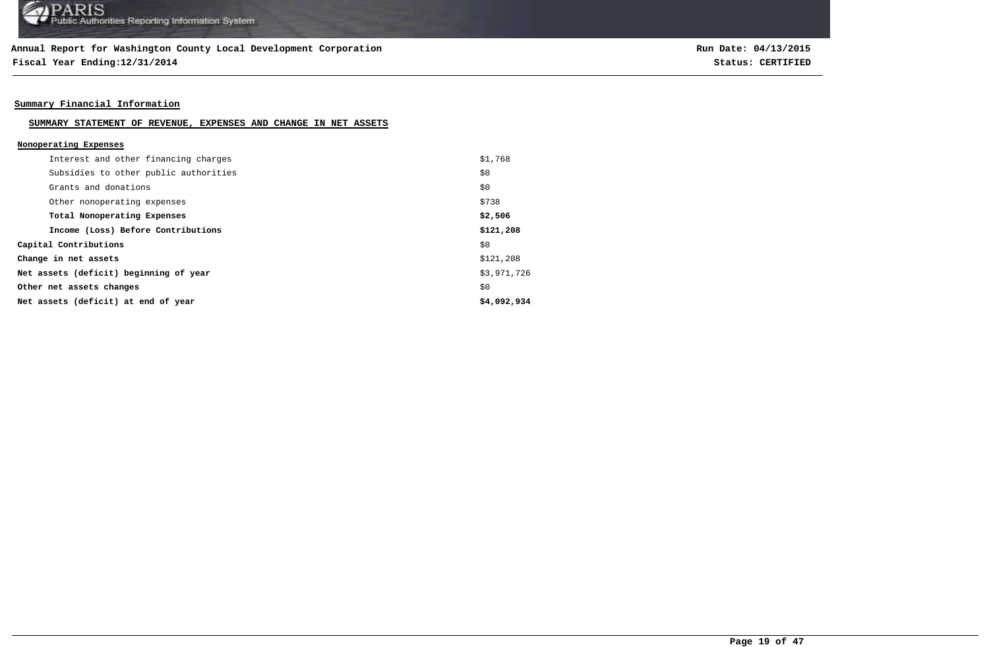**Fiscal Year Ending:12/31/2014 Status: CERTIFIED**

### **Summary Financial Information**

### **SUMMARY STATEMENT OF REVENUE, EXPENSES AND CHANGE IN NET ASSETS**

| Nonoperating Expenses |  |
|-----------------------|--|
|                       |  |

| Interest and other financing charges   | \$1,768     |
|----------------------------------------|-------------|
| Subsidies to other public authorities  | \$0         |
| Grants and donations                   | \$0         |
| Other nonoperating expenses            | \$738       |
| Total Nonoperating Expenses            | \$2,506     |
| Income (Loss) Before Contributions     | \$121,208   |
| Capital Contributions                  | \$0         |
| Change in net assets                   | \$121,208   |
| Net assets (deficit) beginning of year | \$3,971,726 |
| Other net assets changes               | \$0         |
| Net assets (deficit) at end of year    | \$4,092,934 |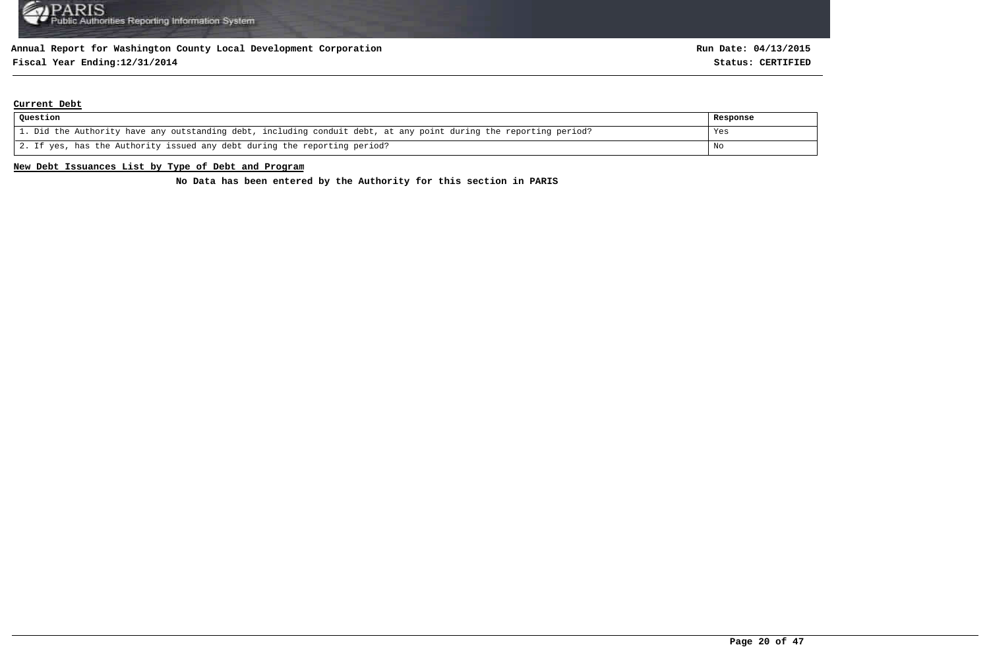## **Fiscal Year Ending:12/31/2014 Status: CERTIFIED**

### **Current Debt**

| Question                                                                                                          | Response |
|-------------------------------------------------------------------------------------------------------------------|----------|
| 1. Did the Authority have any outstanding debt, including conduit debt, at any point during the reporting period? | Yes      |
| 2. If yes, has the Authority issued any debt during the reporting period?                                         | No       |

### **New Debt Issuances List by Type of Debt and Program**

**No Data has been entered by the Authority for this section in PARIS**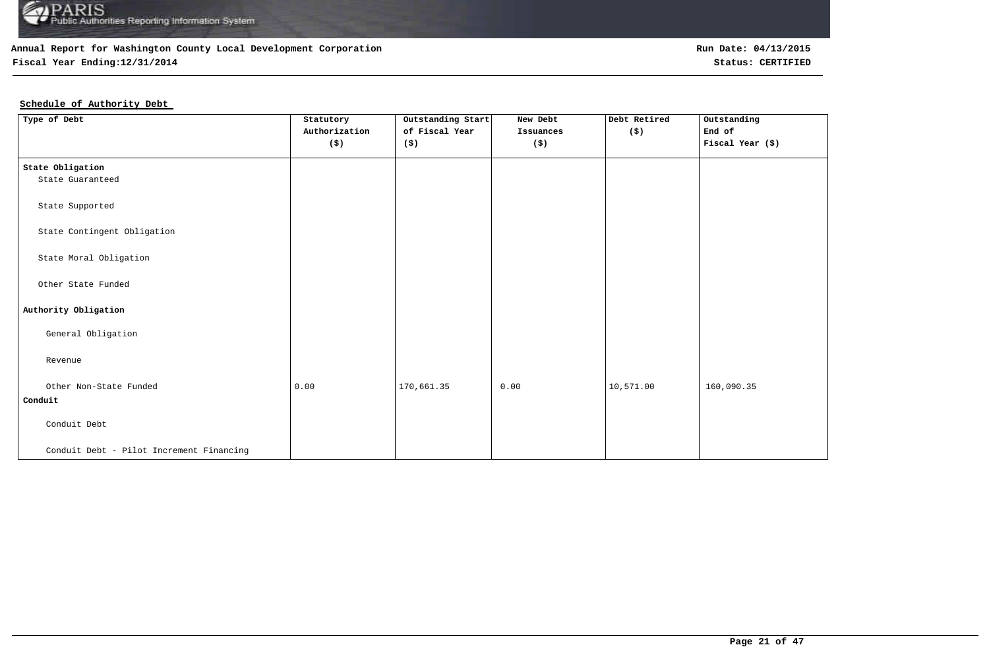

## **Fiscal Year Ending:12/31/2014 Status: CERTIFIED**

### **Schedule of Authority Debt**

| Type of Debt                             | Statutory                   | Outstanding Start | New Debt             | Debt Retired         | Outstanding      |
|------------------------------------------|-----------------------------|-------------------|----------------------|----------------------|------------------|
|                                          | Authorization               | of Fiscal Year    | Issuances            | $(\hat{\mathbf{s}})$ | End of           |
|                                          | $(\boldsymbol{\mathsf{s}})$ | (\$)              | $(\boldsymbol{\xi})$ |                      | Fiscal Year (\$) |
|                                          |                             |                   |                      |                      |                  |
| State Obligation                         |                             |                   |                      |                      |                  |
| State Guaranteed                         |                             |                   |                      |                      |                  |
|                                          |                             |                   |                      |                      |                  |
| State Supported                          |                             |                   |                      |                      |                  |
|                                          |                             |                   |                      |                      |                  |
| State Contingent Obligation              |                             |                   |                      |                      |                  |
|                                          |                             |                   |                      |                      |                  |
| State Moral Obligation                   |                             |                   |                      |                      |                  |
|                                          |                             |                   |                      |                      |                  |
| Other State Funded                       |                             |                   |                      |                      |                  |
|                                          |                             |                   |                      |                      |                  |
| Authority Obligation                     |                             |                   |                      |                      |                  |
| General Obligation                       |                             |                   |                      |                      |                  |
|                                          |                             |                   |                      |                      |                  |
| Revenue                                  |                             |                   |                      |                      |                  |
|                                          |                             |                   |                      |                      |                  |
| Other Non-State Funded                   | 0.00                        | 170,661.35        | 0.00                 | 10,571.00            | 160,090.35       |
| Conduit                                  |                             |                   |                      |                      |                  |
|                                          |                             |                   |                      |                      |                  |
| Conduit Debt                             |                             |                   |                      |                      |                  |
|                                          |                             |                   |                      |                      |                  |
| Conduit Debt - Pilot Increment Financing |                             |                   |                      |                      |                  |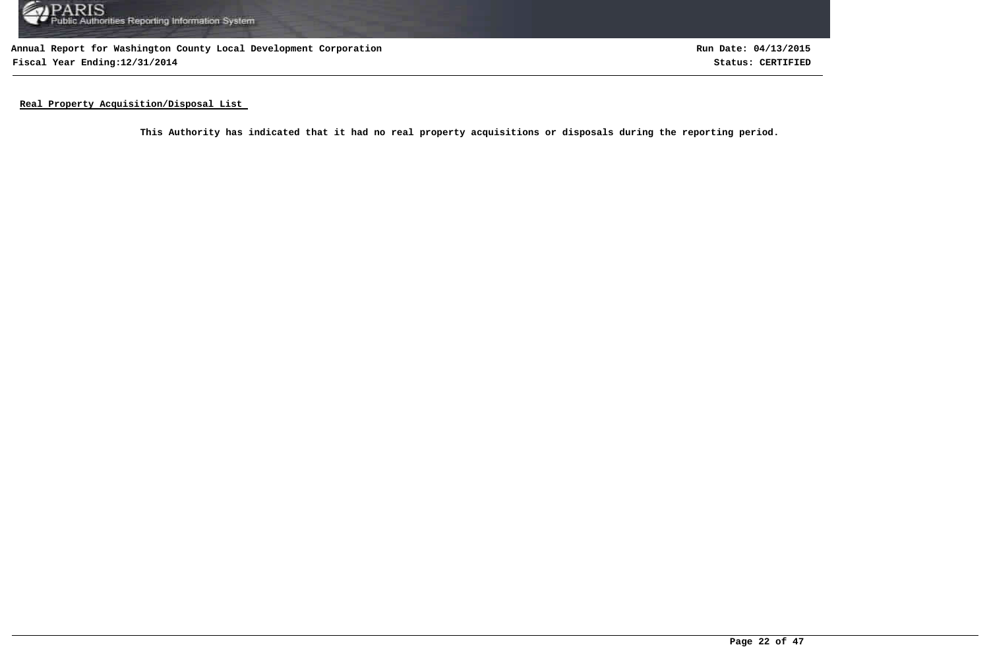

**Annual Report for Washington County Local Development Corporation Fiscal Year Ending:12/31/2014 Status: CERTIFIED**

**Run Date: 04/13/2015**

**Real Property Acquisition/Disposal List** 

**This Authority has indicated that it had no real property acquisitions or disposals during the reporting period.**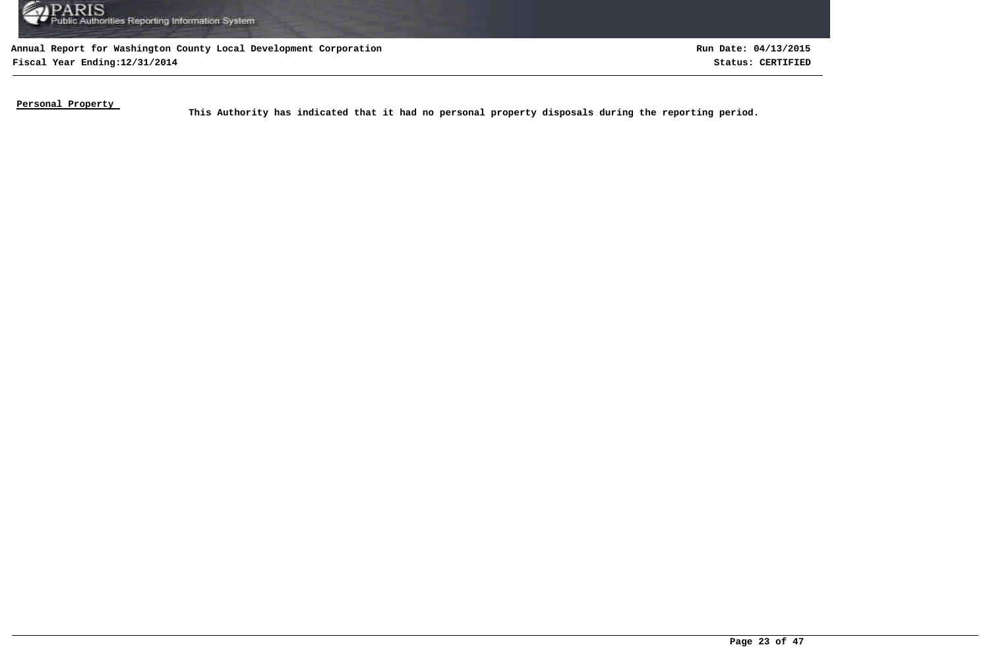

**Fiscal Year Ending:12/31/2014 Status: CERTIFIED Run Date: 04/13/2015**

**Personal Property** 

This Authority has indicated that it had no personal property disposals during the reporting period.<br>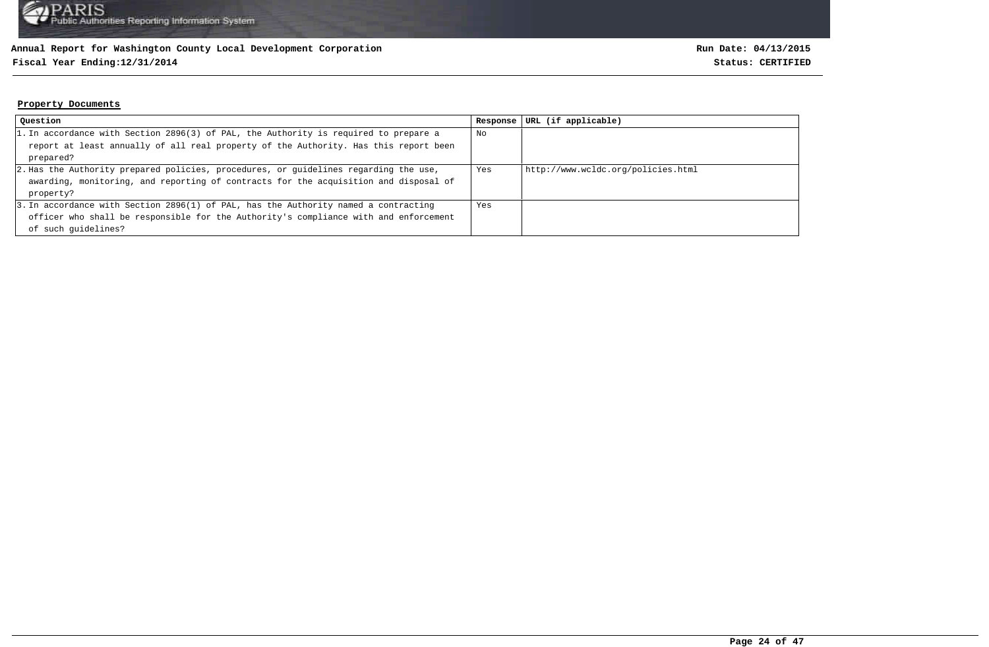## **Fiscal Year Ending:12/31/2014 Status: CERTIFIED**

### **Property Documents**

| Question                                                                             | Response | URL (if applicable)                |
|--------------------------------------------------------------------------------------|----------|------------------------------------|
| 1. In accordance with Section 2896(3) of PAL, the Authority is required to prepare a | No       |                                    |
| report at least annually of all real property of the Authority. Has this report been |          |                                    |
| prepared?                                                                            |          |                                    |
| 2. Has the Authority prepared policies, procedures, or guidelines regarding the use, | Yes      | http://www.wcldc.org/policies.html |
| awarding, monitoring, and reporting of contracts for the acquisition and disposal of |          |                                    |
| property?                                                                            |          |                                    |
| 3. In accordance with Section 2896(1) of PAL, has the Authority named a contracting  | Yes      |                                    |
| officer who shall be responsible for the Authority's compliance with and enforcement |          |                                    |
| of such quidelines?                                                                  |          |                                    |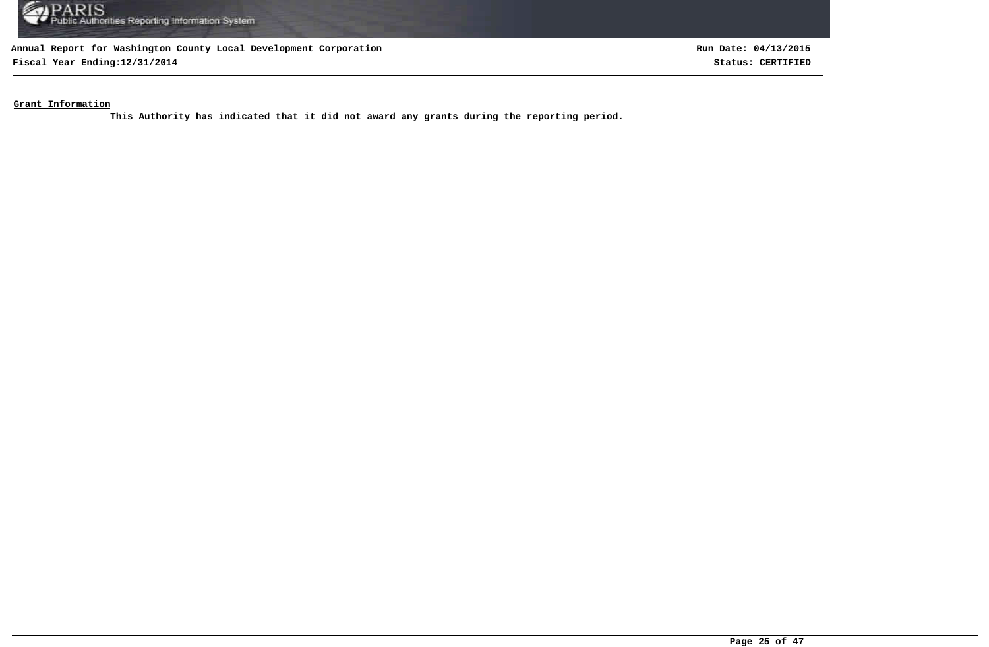

**Fiscal Year Ending:12/31/2014 Status: CERTIFIED**

**Run Date: 04/13/2015**

**Grant Information**

**This Authority has indicated that it did not award any grants during the reporting period.**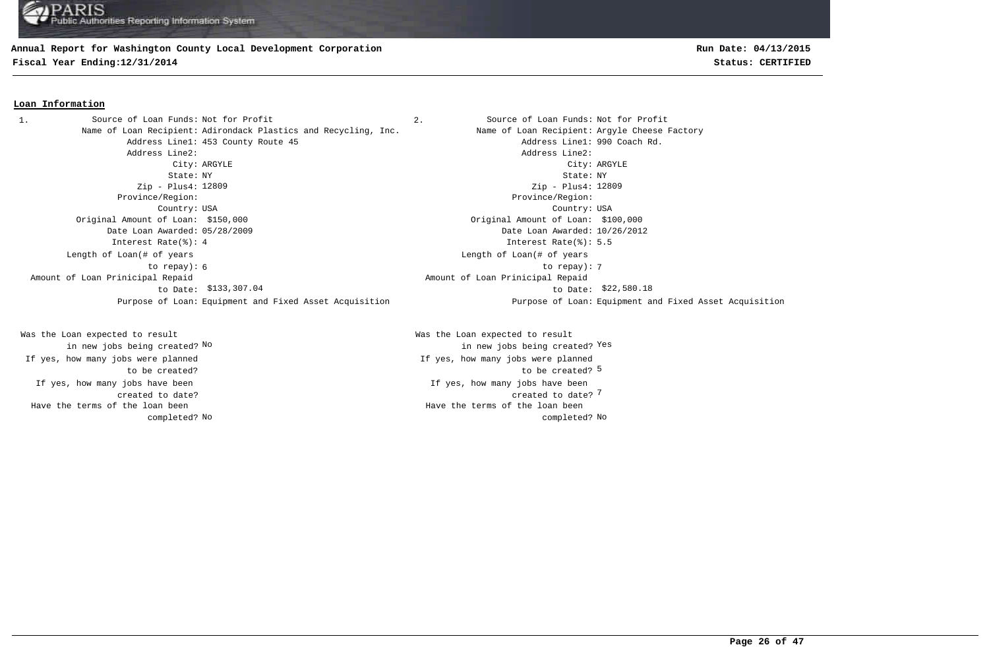### **Annual Report for Washington County Local Development Corporation**

**Fiscal Year Ending:12/31/2014 Status: CERTIFIED**

### **Loan Information**

1. Source of Loan Funds: Not for Profit  $\qquad \qquad$  2. Source of Loan Funds: Not for Profit Name of Loan Recipient: Adirondack Plastics and Recycling, Inc. Name of Loan Recipient: Argyle Cheese Factory Address Line1: 453 County Route 45 Address Line1: 990 Coach Rd. Address Line2: Address Line2: City: ARGYLE City: ARGYLE State: NY State: NY Zip - Plus4: 12809 Province/Region: Province/Region: Country: USA Country: USA Original Amount of Loan: \$150,000 Original Amount of Loan: \$100,000 Date Loan Awarded: 05/28/2009 Date Loan Awarded: 10/26/2012 Interest Rate(%): 4 Interest Rate(%): 5.5 6 7 to repay): Length of Loan(# of years to repay):  $$133,307.04$   $$22,580.18$  Amount of Loan Prinicipal Repaid to Date:

If yes, how many jobs have been created to date? Was the Loan expected to result in new jobs being created? No If yes, how many jobs were planned to be created? Have the terms of the loan been completed? **Run Date: 04/13/2015**

Zip - Plus4: 12809 Length of Loan(# of years Amount of Loan Prinicipal Repaid Purpose of Loan: Equipment and Fixed Asset Acquisition Purpose of Loan: Equipment and Fixed Asset Acquisition

> 7 created to date? If yes, how many jobs have been to be created? 5 Was the Loan expected to result new jobs being created? <sup>Yes</sup> in new jobs being created? <sup>Yes</sup> If yes, how many jobs were planned No No completed? Have the terms of the loan been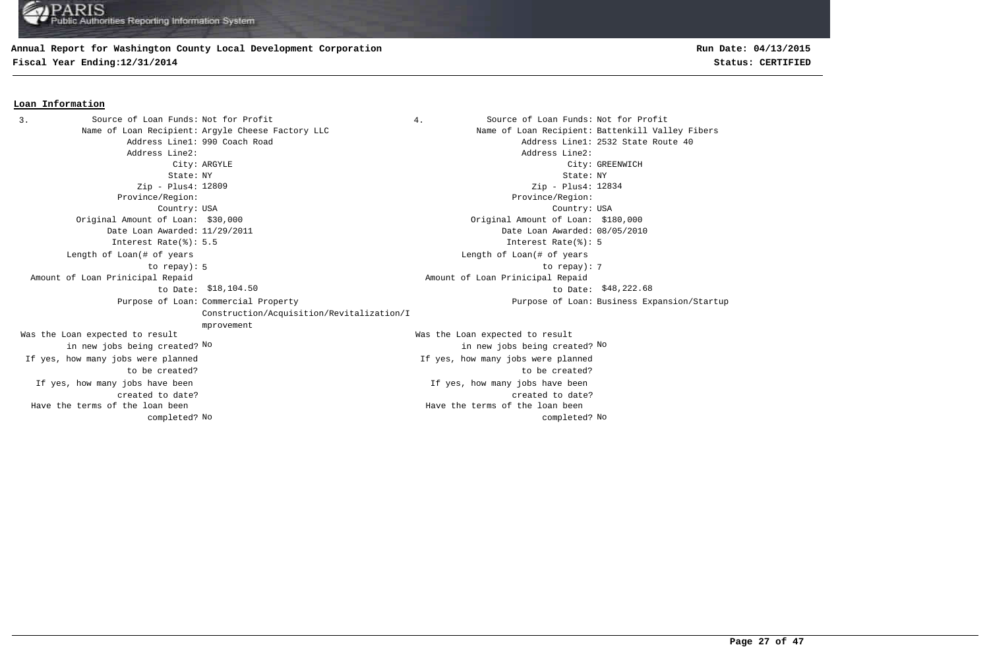### **Annual Report for Washington County Local Development Corporation**

**Fiscal Year Ending:12/31/2014 Status: CERTIFIED**

## **Run Date: 04/13/2015**

#### **Loan Information**

3. Source of Loan Funds: Not for Profit  $\begin{array}{ccc} 3. & 4. &$  Source of Loan Funds: Not for Profit Name of Loan Recipient: Argyle Cheese Factory LLC Name of Loan Recipient: Battenkill Valley Fibers Address Line1: 990 Coach Road and Address Line1: 2532 State Route 40 Address Line2: Address Line2: City: ARGYLE City: GREENWICH State: NY State: NY Zip - Plus4: 12809 Province/Region: Province/Region: Country: USA Country: USA If yes, how many jobs have been created to date? If yes, how many jobs have been created to date? Original Amount of Loan: \$30,000 Original Amount of Loan: \$180,000 Date Loan Awarded: 11/29/2011 Date Loan Awarded: 08/05/2010 Was the Loan expected to result in new jobs being created? No Was the Loan expected to result in new jobs being created? No No Zip - Plus4: 12834 Interest Rate(%): 5.5 Interest Rate(%): 5 If yes, how many jobs were planned to be created? If yes, how many jobs were planned to be created? 5 7 to repay): Length of Loan(# of years to repay): Length of Loan(# of years \$18,104.50 \$48,222.68 to Date: Amount of Loan Prinicipal Repaid to Date: \$18,104.50 Amount of Loan Prinicipal Repaid Purpose of Loan: Commercial Property Construction/Acquisition/Revitalization/I mprovement Purpose of Loan: Business Expansion/Startup No No completed? Have the terms of the loan been completed? Have the terms of the loan been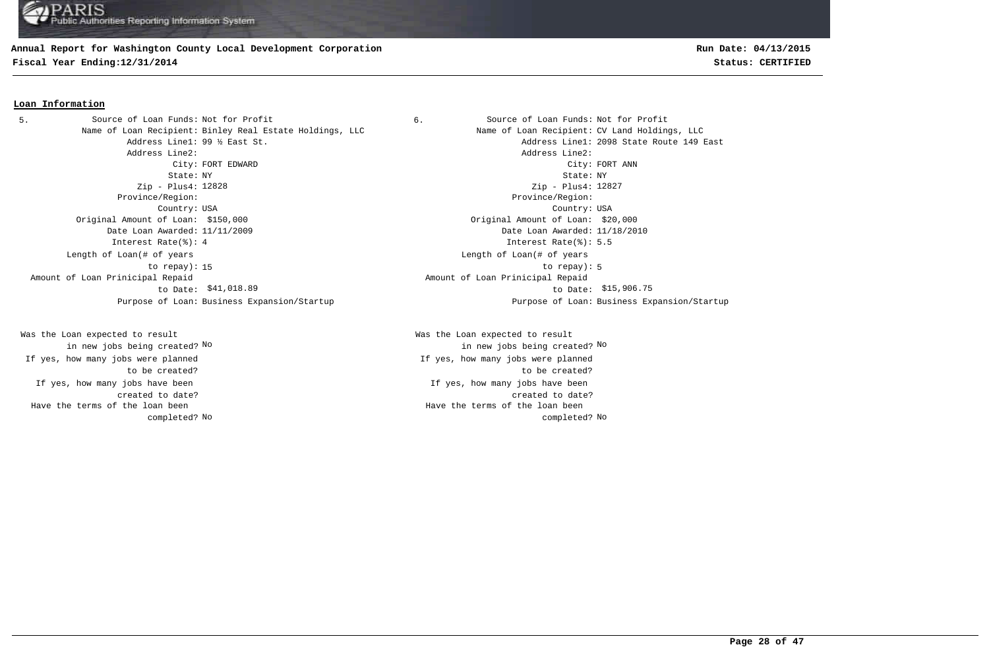### **Annual Report for Washington County Local Development Corporation**

**Fiscal Year Ending:12/31/2014 Status: CERTIFIED**

### **Loan Information**

5. Source of Loan Funds: Not for Profit  $\begin{array}{ccc} 6. & \hspace{1.5cm} & \hspace{1.5cm} & \hspace{1.5cm} & \hspace{1.5cm} & \hspace{1.5cm} & \hspace{1.5cm} & \hspace{1.5cm} & \hspace{1.5cm} & \hspace{1.5cm} & \hspace{1.5cm} & \hspace{1.5cm} & \hspace{1.5cm} & \hspace{1.5cm} & \hspace{1.5cm} & \hspace{1.5cm} & \hspace{1.5cm} & \hspace{1.5cm} &$ Name of Loan Recipient: Binley Real Estate Holdings, LLC Name of Loan Recipient: CV Land Holdings, LLC Address Line2: Address Line2: State: NY State: NY Zip - Plus4: 12828 Province/Region: Province/Region: Country: USA Country: USA Original Amount of Loan: \$150,000 Original Amount of Loan: \$20,000 Date Loan Awarded: 11/11/2009 Date Loan Awarded: 11/18/2010 Interest Rate(%): 4 Interest Rate(%): 5.5 Length of Loan(# of years to repay): Amount of Loan Prinicipal Repaid to Date: Purpose of Loan: Business Expansion/Startup Purpose of Loan: Business Expansion/Startup

If yes, how many jobs have been created to date? Was the Loan expected to result in new jobs being created? No If yes, how many jobs were planned to be created? Have the terms of the loan been completed?

Address Line1: 99 ½ East St. Address Line1: 2098 State Route 149 East City: FORT EDWARD City: FORT ANN Zip - Plus4: 12827 15 to repay): 5 Length of Loan(# of years \$41,018.89 \$15,906.75 to Date: Amount of Loan Prinicipal Repaid

> If yes, how many jobs have been created to date? Was the Loan expected to result in new jobs being created? No No If yes, how many jobs were planned to be created? No No completed? Have the terms of the loan been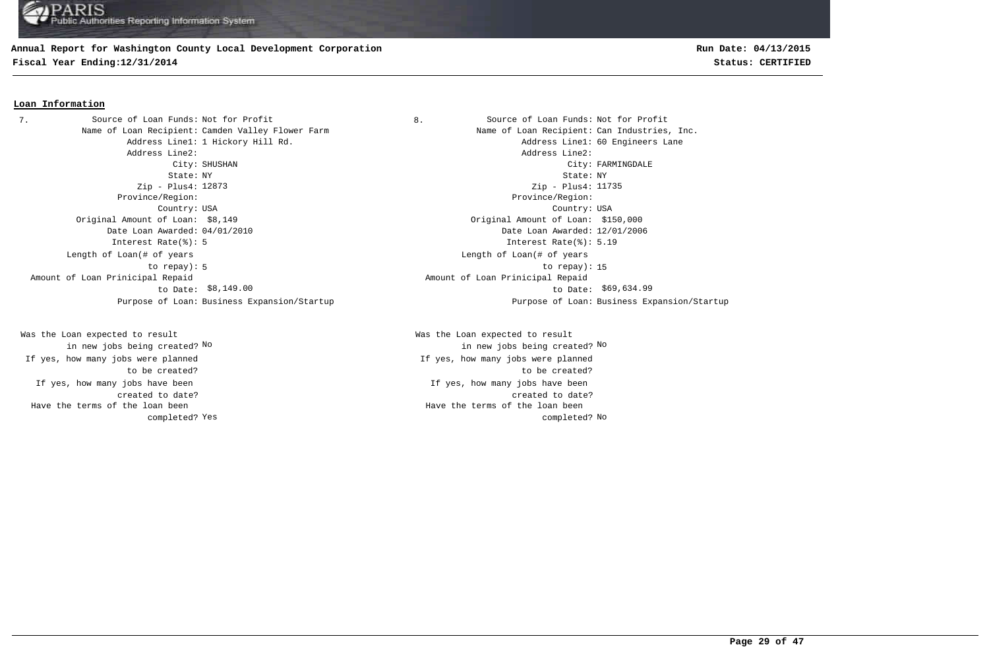## **Annual Report for Washington County Local Development Corporation**

**Fiscal Year Ending:12/31/2014 Status: CERTIFIED**

### **Loan Information**

7. Source of Loan Funds: Not for Profit  $\begin{array}{ccc} 8. & \hspace{1.5cm} & \hspace{1.5cm} & \hspace{1.5cm} & \hspace{1.5cm} & \hspace{1.5cm} & \hspace{1.5cm} & \hspace{1.5cm} & \hspace{1.5cm} & \hspace{1.5cm} & \hspace{1.5cm} & \hspace{1.5cm} & \hspace{1.5cm} & \hspace{1.5cm} & \hspace{1.5cm} & \hspace{1.5cm} & \hspace{1.5cm} & \hspace{1.5cm} &$ Name of Loan Recipient: Camden Valley Flower Farm Name Name of Loan Recipient: Can Industries, Inc. Address Line2: Address Line2: State: NY State: NY Zip - Plus4: 12873 Province/Region: Province/Region: Country: USA Country: USA Original Amount of Loan: \$8,149 Original Amount of Loan: \$150,000 Date Loan Awarded: 04/01/2010 Date Loan Awarded: 12/01/2006 Interest Rate(%): 5 Interest Rate(%): 5.19 Length of Loan(# of years to repay): Amount of Loan Prinicipal Repaid to Date: Purpose of Loan: Business Expansion/Startup Purpose of Loan: Business Expansion/Startup

If yes, how many jobs have been created to date? Was the Loan expected to result in new jobs being created? No If yes, how many jobs were planned to be created? Have the terms of the loan been completed?

Address Line1: 1 Hickory Hill Rd. Address Line1: 60 Engineers Lane City: SHUSHAN City: FARMINGDALE Zip - Plus4: 11735 5 to repay): 15 Length of Loan(# of years \$8,149.00 to Date: \$69,634.99 Amount of Loan Prinicipal Repaid

> If yes, how many jobs have been created to date? Was the Loan expected to result in new jobs being created? No No If yes, how many jobs were planned to be created? Yes and the completed? No completed? No completed? No completed? No completed? No Have the terms of the loan been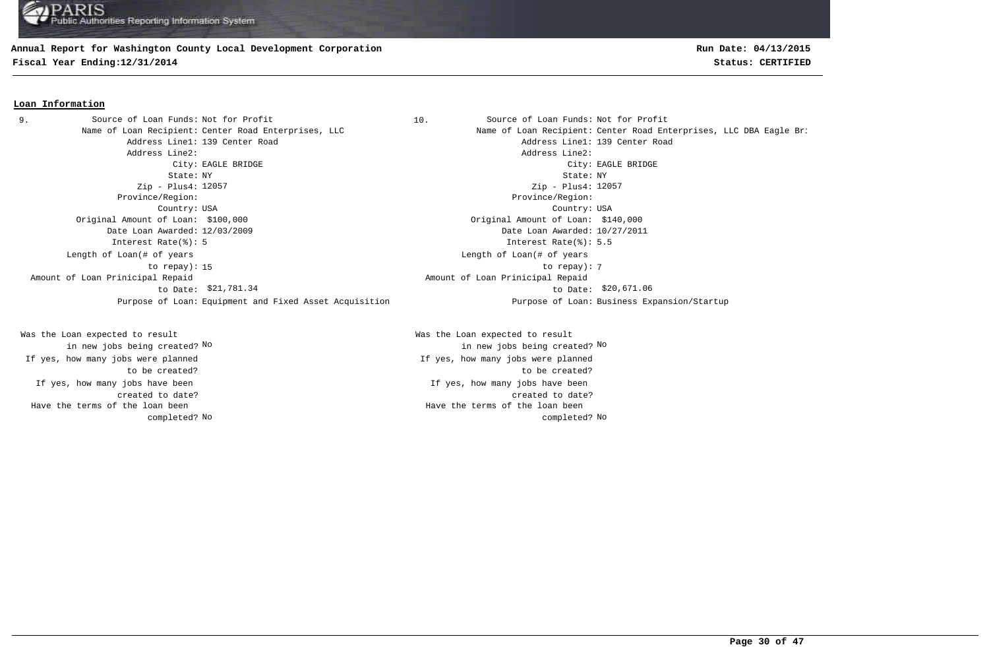## **Annual Report for Washington County Local Development Corporation**

**Fiscal Year Ending:12/31/2014 Status: CERTIFIED**

### **Loan Information**

Address Line1: 139 Center Road and Address Line1: 139 Center Road Address Line2: Address Line2: State: NY State: NY Zip - Plus4: 12057 Province/Region: Province/Region: Country: USA Country: USA Original Amount of Loan: \$100,000 Original Amount of Loan: \$140,000 Date Loan Awarded: 12/03/2009 Date Loan Awarded: 10/27/2011 Interest Rate(%): 5 Interest Rate(%): 5.5 15 to repay): 7 Length of Loan(# of years to repay): Amount of Loan Prinicipal Repaid to Date: \$21,781.34 9. Source of Loan Funds: Not for Profit

If yes, how many jobs have been created to date? Was the Loan expected to result in new jobs being created? No If yes, how many jobs were planned to be created? Have the terms of the loan been completed?

10. Source of Loan Funds: Not for Profit Name of Loan Recipient: Center Road Enterprises, LLC Name of Loan Recipient: Center Road Enterprises, LLC DBA Eagle Bri City: EAGLE BRIDGE City: EAGLE BRIDGE Zip - Plus4: 12057 Length of Loan(# of years \$21,781.34 \$20,671.06 to Date: Amount of Loan Prinicipal Repaid Purpose of Loan: Equipment and Fixed Asset Acquisition Purpose of Loan: Business Expansion/Startup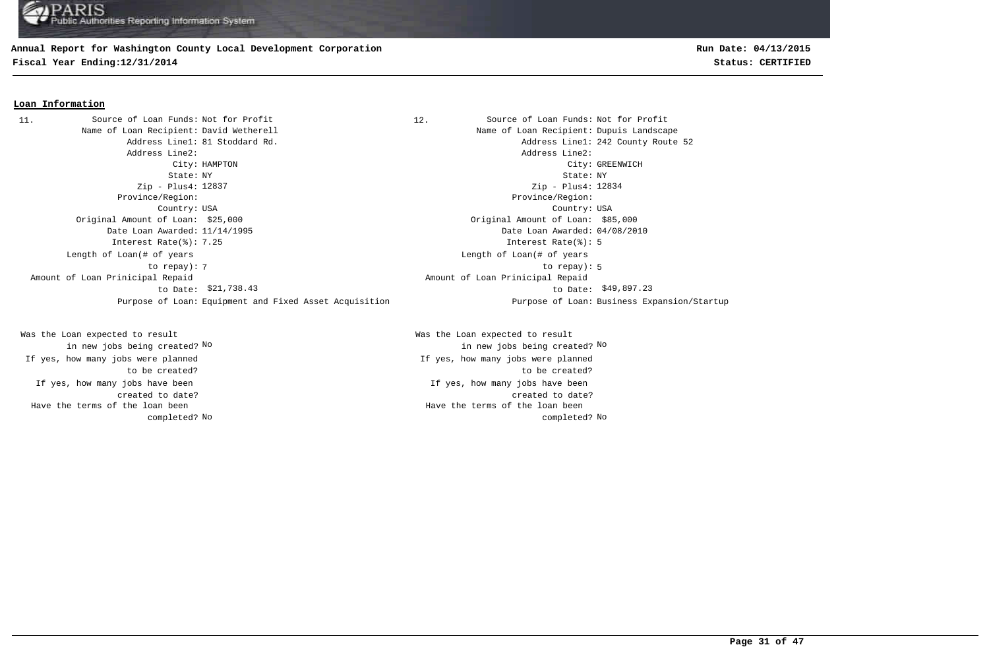### **Annual Report for Washington County Local Development Corporation**

**Fiscal Year Ending:12/31/2014 Status: CERTIFIED**

### **Loan Information**

11. Source of Loan Funds: Not for Profit (12. Source of Loan Funds: Not for Profit Name of Loan Recipient: David Wetherell Name of Loan Recipient: Dupuis Landscape Address Line1: 81 Stoddard Rd. Address Line1: 242 County Route 52 Address Line2: Address Line2: City: HAMPTON City: GREENWICH State: NY State: NY Zip - Plus4: 12837 Province/Region: Province/Region: Country: USA Country: USA Original Amount of Loan: \$25,000 Original Amount of Loan: \$85,000 Date Loan Awarded: 11/14/1995 Date Loan Awarded: 04/08/2010 Interest Rate(%): 7.25 Interest Rate(%): 5 The state of the state of the state of the state of the state of the state of the state of the state of the state of the state of the state of the state of the state of the state of the state of the state of the state of t Length of Loan(# of years to repay): \$21,738.43 \$49,897.23 to Date: Amount of Loan Prinicipal Repaid to Date: \$21,738.43 Purpose of Loan: Equipment and Fixed Asset Acquisition Purpose of Loan: Business Expansion/Startup

If yes, how many jobs have been created to date? Was the Loan expected to result in new jobs being created? No If yes, how many jobs were planned to be created? Have the terms of the loan been completed?

Zip - Plus4: 12834 Length of Loan(# of years Amount of Loan Prinicipal Repaid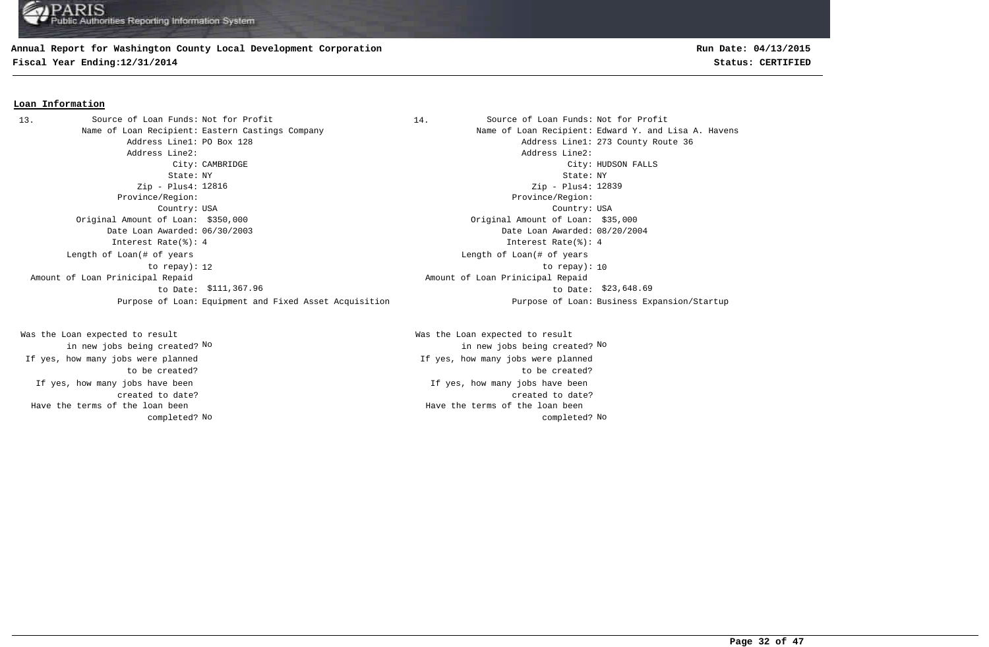### **Annual Report for Washington County Local Development Corporation**

**Fiscal Year Ending:12/31/2014 Status: CERTIFIED**

### **Loan Information**

Name of Loan Recipient: Eastern Castings Company Name of Loan Recipient: Edward Y. and Lisa A. Havens Address Line1: PO Box 128 Address Line1: 273 County Route 36 Address Line2: Address Line2: State: NY State: NY Zip - Plus4: Zip - Plus4: Province/Region: Province/Region: Country: USA Country: USA Original Amount of Loan: \$350,000 Original Amount of Loan: \$35,000 Date Loan Awarded: 06/30/2003 Date Loan Awarded: 08/20/2004 Interest Rate(%): 4 Interest Rate(%): 4 12 to repay): 10 Length of Loan(# of years to repay): Amount of Loan Prinicipal Repaid to Date: 13. Source of Loan Funds: Not for Profit

If yes, how many jobs have been created to date? Was the Loan expected to result in new jobs being created? No If yes, how many jobs were planned to be created? Have the terms of the loan been completed?

14. Source of Loan Funds: Not for Profit City: CAMBRIDGE City: HUDSON FALLS Zip - Plus4: 12839 Length of Loan(# of years \$111,367.96 \$23,648.69 to Date: Amount of Loan Prinicipal Repaid Purpose of Loan: Equipment and Fixed Asset Acquisition Purpose of Loan: Business Expansion/Startup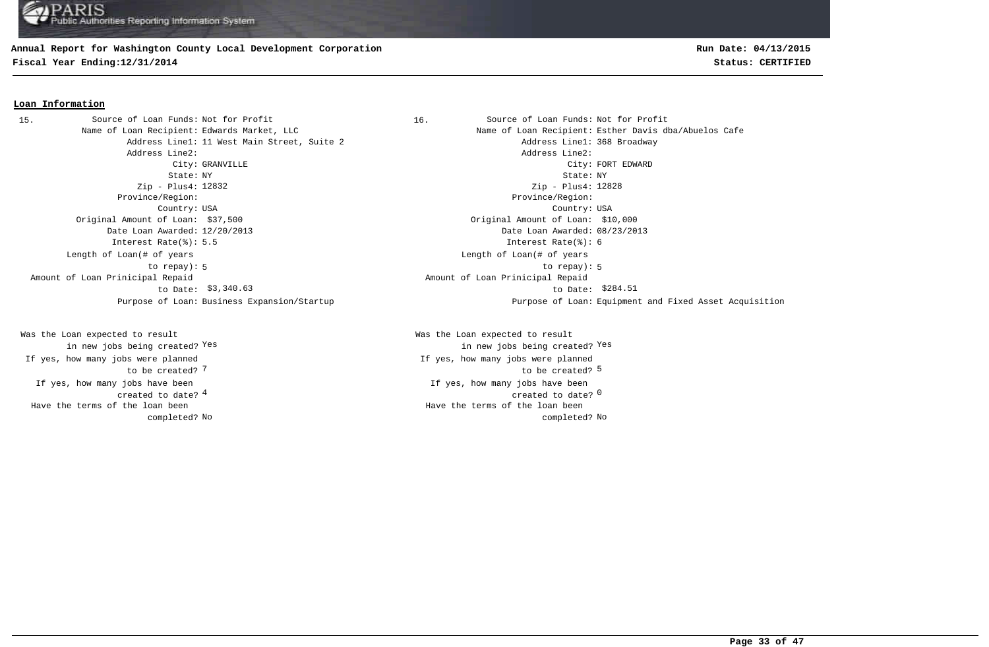### **Annual Report for Washington County Local Development Corporation**

**Fiscal Year Ending:12/31/2014 Status: CERTIFIED**

## **Run Date: 04/13/2015**

#### **Loan Information**

Address Line1: 11 West Main Street, Suite 2 and Address Line1: 368 Broadway Address Line2: Address Line2: State: NY State: NY Zip - Plus4: 12832 Province/Region: Province/Region: Country: USA Country: USA Original Amount of Loan: \$37,500 Original Amount of Loan: \$10,000 Date Loan Awarded: 12/20/2013 Date Loan Awarded: 08/23/2013 Interest Rate(%): 5.5 Interest Rate(%): 6 Length of Loan(# of years to repay): Amount of Loan Prinicipal Repaid to Date: 15. Source of Loan Funds: Not for Profit

If yes, how many jobs have been created to date? Was the Loan expected to result in new jobs being created? Yes If yes, how many jobs were planned to be created? 7 Have the terms of the loan been completed?

16. Source of Loan Funds: Not for Profit Name of Loan Recipient: Edwards Market, LLC Name of Loan Recipient: Esther Davis dba/Abuelos Cafe City: GRANVILLE CHARD CONSULTER CONSULTER CONSUMING COMPANY CONSULTER CONSULTER CONSULTER CONSULTER CONSULTER CONSULTER CONSULTER CONSULTER CONSULTER CONSULTER CONSULTER CONSULTER CONSULTER CONSULTER CONSULTER CONSULTER CO Zip - Plus4: 12828 5 to repay): 5 Length of Loan(# of years \$3,340.63 \$284.51 to Date: Amount of Loan Prinicipal Repaid Purpose of Loan: Business Expansion/Startup Purpose of Loan: Equipment and Fixed Asset Acquisition

> $\frac{4}{\pi}$  created to date?  $\frac{0}{\pi}$ If yes, how many jobs have been The contraction of the contraction of the contraction of the contraction of the contraction of the contraction of the contraction of the contraction of the contraction of the contraction of the contraction of the contracti Was the Loan expected to result in new jobs being created? Yes Yes If yes, how many jobs were planned No No completed? Have the terms of the loan been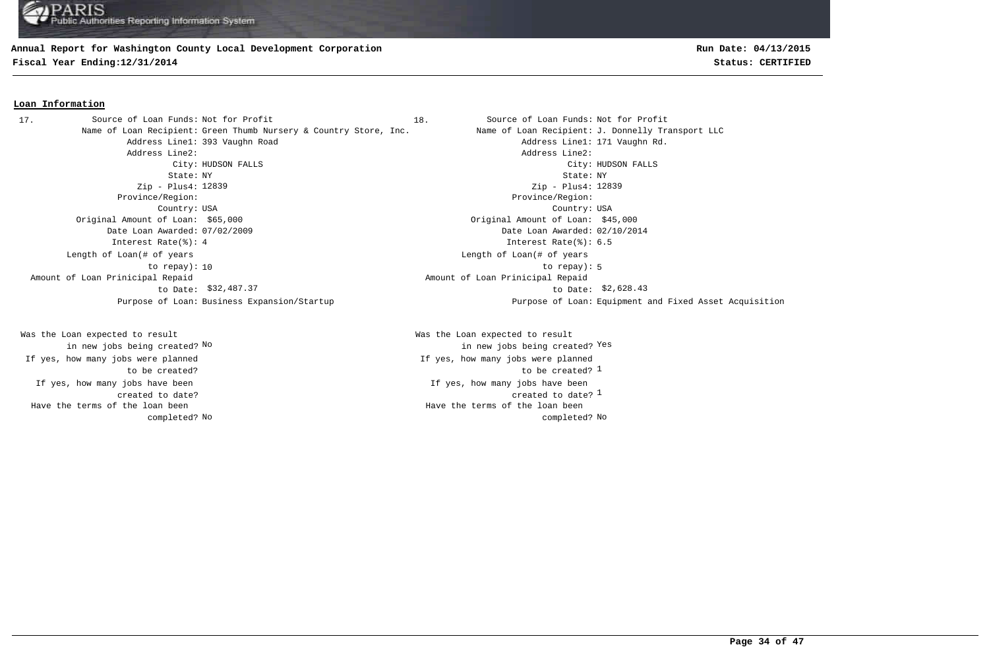### **Annual Report for Washington County Local Development Corporation**

**Fiscal Year Ending:12/31/2014 Status: CERTIFIED**

### **Loan Information**

Name of Loan Recipient: Green Thumb Nursery & Country Store, Inc. Name of Loan Recipient: J. Donnelly Transport LLC Address Line1: 393 Vaughn Road Address Line1: 171 Vaughn Rd. Address Line2: Address Line2: City: HUDSON FALLS City: HUDSON FALLS State: NY State: NY Zip - Plus4: 12839 Province/Region: Province/Region: Country: USA Country: USA Original Amount of Loan: \$65,000 Original Amount of Loan: \$45,000 Date Loan Awarded: 07/02/2009 Date Loan Awarded: 02/10/2014 Interest Rate(%): 4 Interest Rate(%): 6.5 10 to repay): 5 Length of Loan(# of years to repay): Amount of Loan Prinicipal Repaid to Date: \$32,487.37 17. Source of Loan Funds: Not for Profit

If yes, how many jobs have been created to date? Was the Loan expected to result in new jobs being created? No If yes, how many jobs were planned to be created? Have the terms of the loan been completed? **Run Date: 04/13/2015**

18. Source of Loan Funds: Not for Profit Zip - Plus4: 12839 Length of Loan(# of years \$32,487.37 \$2,628.43 to Date: Amount of Loan Prinicipal Repaid Purpose of Loan: Business Expansion/Startup Purpose of Loan: Equipment and Fixed Asset Acquisition

> created to date?  $^{\rm 1}$ If yes, how many jobs have been to be created? 1 Was the Loan expected to result new jobs being created? <sup>Yes</sup> in new jobs being created? <sup>Yes</sup> If yes, how many jobs were planned No No completed? Have the terms of the loan been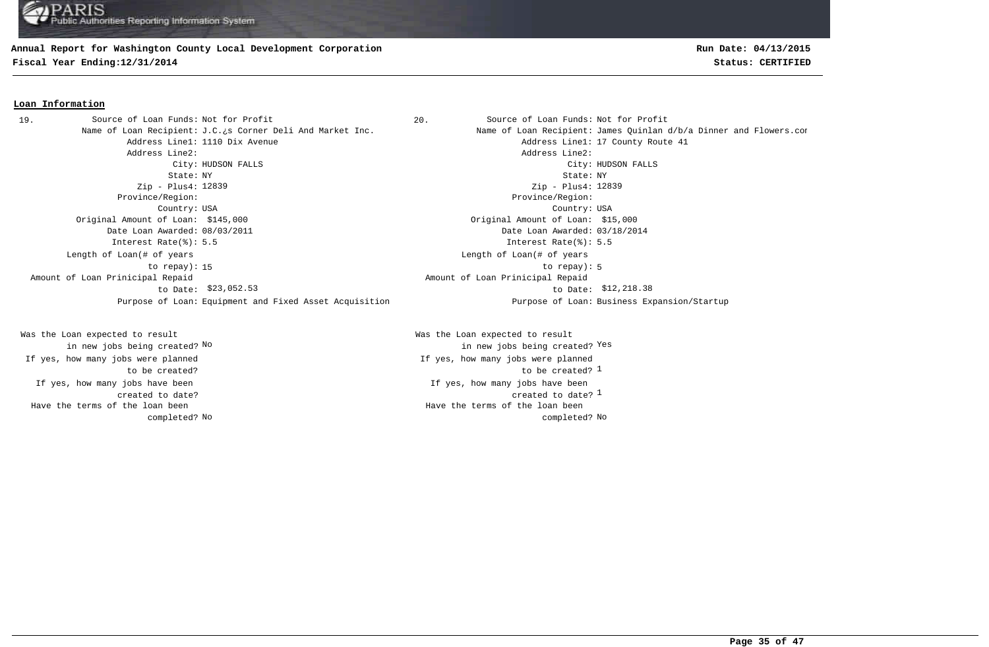### **Annual Report for Washington County Local Development Corporation**

**Fiscal Year Ending:12/31/2014 Status: CERTIFIED**

## **Run Date: 04/13/2015**

#### **Loan Information**

19. Source of Loan Funds: Not for Profit (1999) 20. Source of Loan Funds: Not for Profit Address Line1: 1110 Dix Avenue Address Line1: 17 County Route 41 Address Line2: Address Line2: City: HUDSON FALLS City: HUDSON FALLS State: NY State: NY Zip - Plus4: 12839 Province/Region: Province/Region: Country: USA Country: USA Original Amount of Loan: \$145,000 Original Amount of Loan: \$15,000 Date Loan Awarded: 08/03/2011 Date Loan Awarded: 03/18/2014 Interest Rate(%): 5.5 Interest Rate(%): 5.5 15 to repay): 5 Length of Loan(# of years to repay): Amount of Loan Prinicipal Repaid to Date: \$23,052.53 Purpose of Loan: Equipment and Fixed Asset Acquisition Purpose of Loan: Business Expansion/Startup

If yes, how many jobs have been created to date? Was the Loan expected to result in new jobs being created? No If yes, how many jobs were planned to be created? Have the terms of the loan been completed?

Name of Loan Recipient: J.C.¿s Corner Deli And Market Inc. Name of Loan Recipient: James Quinlan d/b/a Dinner and Flowers.com Zip - Plus4: 12839 Length of Loan(# of years  $$23,052.53$  to Date:  $$12,218.38$ Amount of Loan Prinicipal Repaid

> created to date?  $^{\rm 1}$ If yes, how many jobs have been to be created? 1 Was the Loan expected to result new jobs being created? <sup>Yes</sup> in new jobs being created? <sup>Yes</sup> If yes, how many jobs were planned No No completed? Have the terms of the loan been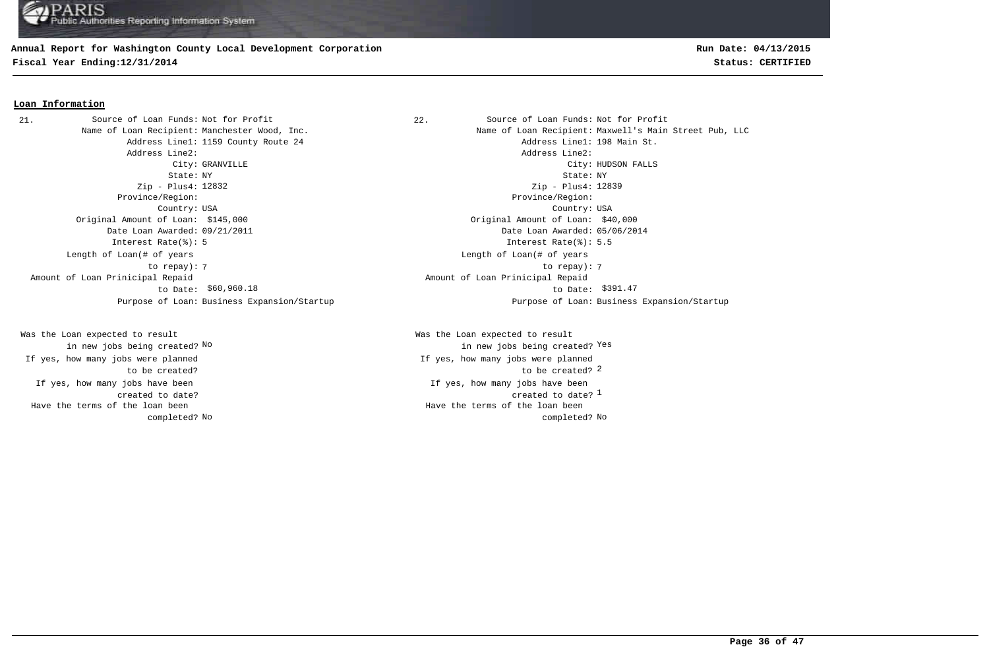### **Annual Report for Washington County Local Development Corporation**

**Fiscal Year Ending:12/31/2014 Status: CERTIFIED**

# **Run Date: 04/13/2015**

### **Loan Information**

21. Source of Loan Funds: Not for Profit and Source of Loan Funds: Not for Profit Address Line2: Address Line2: Zip - Plus4: 12832 Province/Region: Province/Region: Original Amount of Loan: \$145,000 Original Amount of Loan: \$40,000 Date Loan Awarded: 09/21/2011 Date Loan Awarded: 05/06/2014 Interest Rate(%): 5 Interest Rate(%): 5.5 Length of Loan(# of years to repay): Amount of Loan Prinicipal Repaid to Date: \$60,960.18

If yes, how many jobs have been created to date? Was the Loan expected to result in new jobs being created? No If yes, how many jobs were planned to be created? Have the terms of the loan been completed?

Name of Loan Recipient: Manchester Wood, Inc. Name of Loan Recipient: Maxwell's Main Street Pub, LLC Address Line1: 1159 County Route 24 Address Line1: 198 Main St. City: GRANVILLE City: HUDSON FALLS State: NY State: NY Country: USA Country: USA Zip - Plus4: 12839 7 7 to repay): Length of Loan(# of years \$60,960.18 \$391.47 to Date: Amount of Loan Prinicipal Repaid Purpose of Loan: Business Expansion/Startup Purpose of Loan: Business Expansion/Startup

> created to date?  $^{\rm 1}$ If yes, how many jobs have been to be created? 2 Was the Loan expected to result new jobs being created? <sup>Yes</sup> in new jobs being created? <sup>Yes</sup> If yes, how many jobs were planned No No completed? Have the terms of the loan been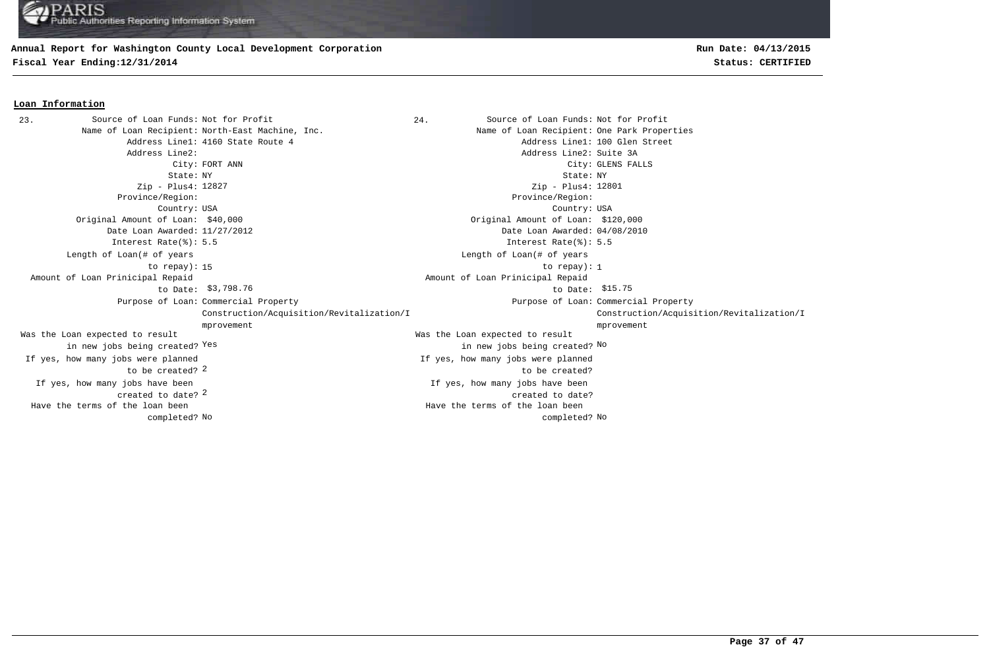### **Annual Report for Washington County Local Development Corporation**

**Fiscal Year Ending:12/31/2014 Status: CERTIFIED**

**Loan Information**

# **Run Date: 04/13/2015**

#### 23. Source of Loan Funds: Not for Profit  $24.$  Source of Loan Funds: Not for Profit Name of Loan Recipient: North-East Machine, Inc. Name of Loan Recipient: One Park Properties Address Line1: 4160 State Route 4 Address Line1: 100 Glen Street Address Line2: Address Line2: Suite 3A City: FORT ANN City: GLENS FALLS State: NY State: NY Zip - Plus4: 12827 Province/Region: Province/Region: Country: USA Country: USA 2 created to date? If yes, how many jobs have been If yes, how many jobs have been created to date? Original Amount of Loan: \$40,000 Original Amount of Loan: \$120,000 Date Loan Awarded: 11/27/2012 Date Loan Awarded: 04/08/2010 to be created? 2 Was the Loan expected to result in new jobs being created? Yes Was the Loan expected to result Yes the contraction of the contraction of the contraction of the contraction of  $\mathbb{N}^{\infty}$  and  $\mathbb{N}^{\infty}$ Zip - Plus4: 12801 Interest Rate(%): 5.5 Interest Rate(%): 5.5 If yes, how many jobs were planned If yes, how many jobs were planned to be created? 15 to repay): 1 Length of Loan(# of years to repay): Length of Loan(# of years \$3,798.76 \$15.75 to Date: Amount of Loan Prinicipal Repaid to Date: \$3,798.76 Amount of Loan Prinicipal Repaid Purpose of Loan: Commercial Property **Example 2** and the community of Loan: Purpose of Loan: Construction/Acquisition/Revitalization/I mprovement Purpose of Loan: Commercial Property Construction/Acquisition/Revitalization/I mprovement No No completed? Have the terms of the loan been completed? Have the terms of the loan been

#### **Page 37 of 47**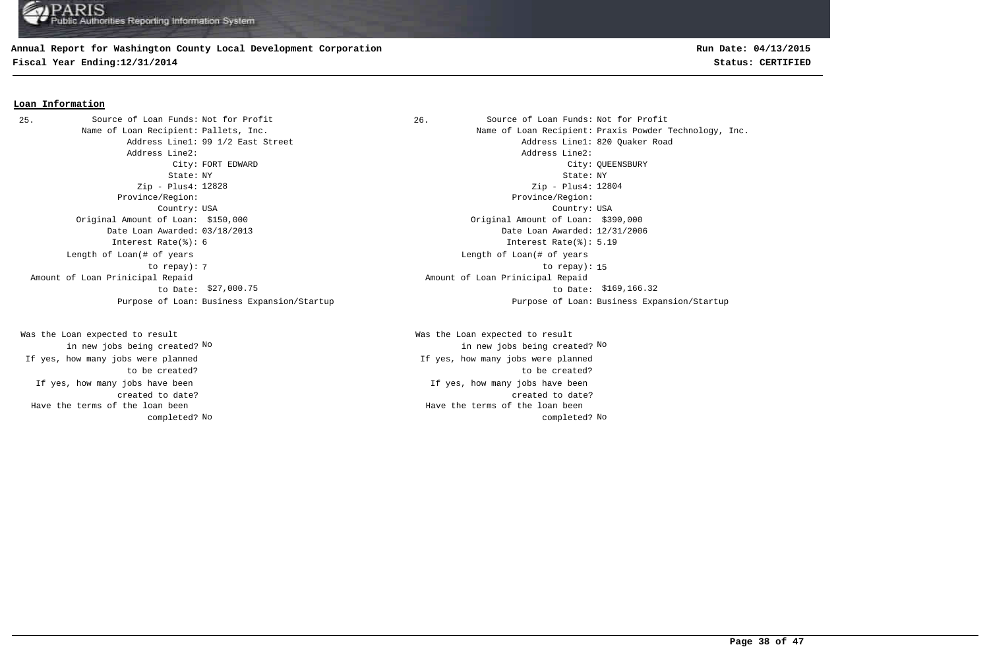## **Annual Report for Washington County Local Development Corporation**

**Fiscal Year Ending:12/31/2014 Status: CERTIFIED**

# **Run Date: 04/13/2015**

### **Loan Information**

Address Line2: Address Line2: Zip - Plus4: 12828 Province/Region: Province/Region: Original Amount of Loan: \$150,000 Original Amount of Loan: \$390,000 Date Loan Awarded: 03/18/2013 Date Loan Awarded: 12/31/2006 Interest Rate(%): 6 Interest Rate(%): 5.19 Length of Loan(# of years to repay): Amount of Loan Prinicipal Repaid to Date: \$27,000.75 25. Source of Loan Funds: Not for Profit

If yes, how many jobs have been created to date? Was the Loan expected to result in new jobs being created? No If yes, how many jobs were planned to be created? Have the terms of the loan been completed?

26. Source of Loan Funds: Not for Profit Name of Loan Recipient: Pallets, Inc. The Same of Loan Recipient: Praxis Powder Technology, Inc. Address Line1: 99 1/2 East Street Address Line1: 820 Quaker Road City: FORT EDWARD City: QUEENSBURY State: NY State: NY Country: USA Country: USA Zip - Plus4: 12804 The contract of the contract of the contract of the contract of the contract of the contract of the contract of the contract of the contract of the contract of the contract of the contract of the contract of the contract o Length of Loan(# of years \$27,000.75 \$169,166.32 to Date: Amount of Loan Prinicipal Repaid Purpose of Loan: Business Expansion/Startup Purpose of Loan: Business Expansion/Startup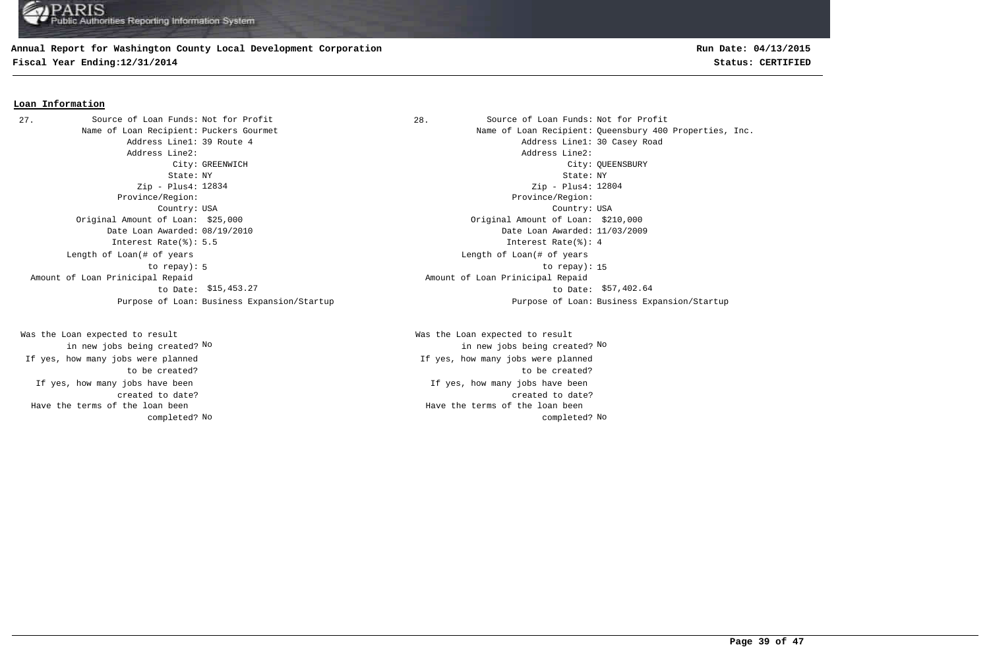## **Annual Report for Washington County Local Development Corporation**

**Fiscal Year Ending:12/31/2014 Status: CERTIFIED**

## **Run Date: 04/13/2015**

### **Loan Information**

27. Source of Loan Funds: Not for Profit and Source of Loan Funds: Not for Profit Address Line2: Address Line2: Zip - Plus4: 12834 Province/Region: Province/Region: Original Amount of Loan: \$25,000 Original Amount of Loan: \$210,000 Date Loan Awarded: 08/19/2010 Date Loan Awarded: 11/03/2009 Interest Rate(%): 5.5 Interest Rate(%): 4 Length of Loan(# of years to repay): Amount of Loan Prinicipal Repaid to Date:

If yes, how many jobs have been created to date? Was the Loan expected to result in new jobs being created? No If yes, how many jobs were planned to be created? Have the terms of the loan been completed?

Name of Loan Recipient: Puckers Gourmet Name of Loan Recipient: Queensbury 400 Properties, Inc. Address Line1: 39 Route 4 **Address Line1: 30 Casey Road** City: GREENWICH City: QUEENSBURY State: NY State: NY Country: USA Country: USA Zip - Plus4: 12804 5 to repay): 15 Length of Loan(# of years \$15,453.27 \$57,402.64 to Date: Amount of Loan Prinicipal Repaid Purpose of Loan: Business Expansion/Startup Purpose of Loan: Business Expansion/Startup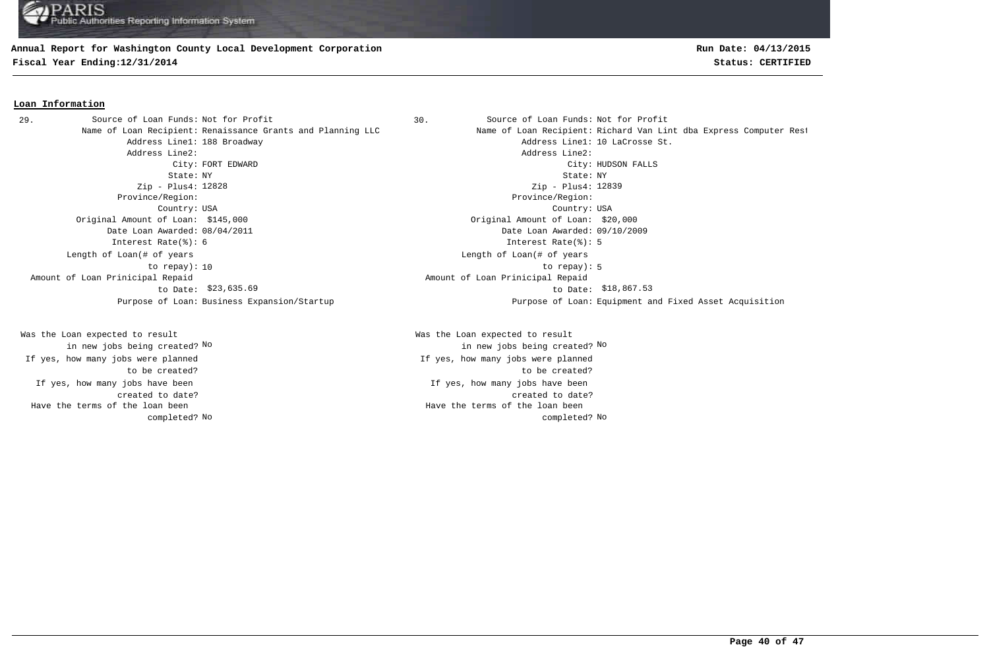### **Annual Report for Washington County Local Development Corporation**

**Fiscal Year Ending:12/31/2014 Status: CERTIFIED**

## **Run Date: 04/13/2015**

### **Loan Information**

Address Line2: Address Line2: State: NY State: NY Zip - Plus4: 12828 Province/Region: Province/Region: Country: USA Country: USA Original Amount of Loan: \$145,000 Original Amount of Loan: \$20,000 Date Loan Awarded: 08/04/2011 Date Loan Awarded: 09/10/2009 Interest Rate(%): 6 Interest Rate(%): 5 Length of Loan(# of years to repay): Amount of Loan Prinicipal Repaid to Date: 29. Source of Loan Funds: Not for Profit

If yes, how many jobs have been created to date? Was the Loan expected to result in new jobs being created? No If yes, how many jobs were planned to be created? Have the terms of the loan been completed?

Source of Loan Funds: Not for Profit Source of Loan Funds: Not for Profit Name of Loan Recipient: Renaissance Grants and Planning LLC Name of Loan Recipient: Richard Van Lint dba Express Computer Rest Address Line1: 188 Broadway and the set of the control of the Address Line1: 10 LaCrosse St. City: FORT EDWARD City: HUDSON FALLS Zip - Plus4: 12839 10 to repay): 5 Length of Loan(# of years \$23,635.69 \$18,867.53 to Date: Amount of Loan Prinicipal Repaid Purpose of Loan: Business Expansion/Startup Purpose of Loan: Equipment and Fixed Asset Acquisition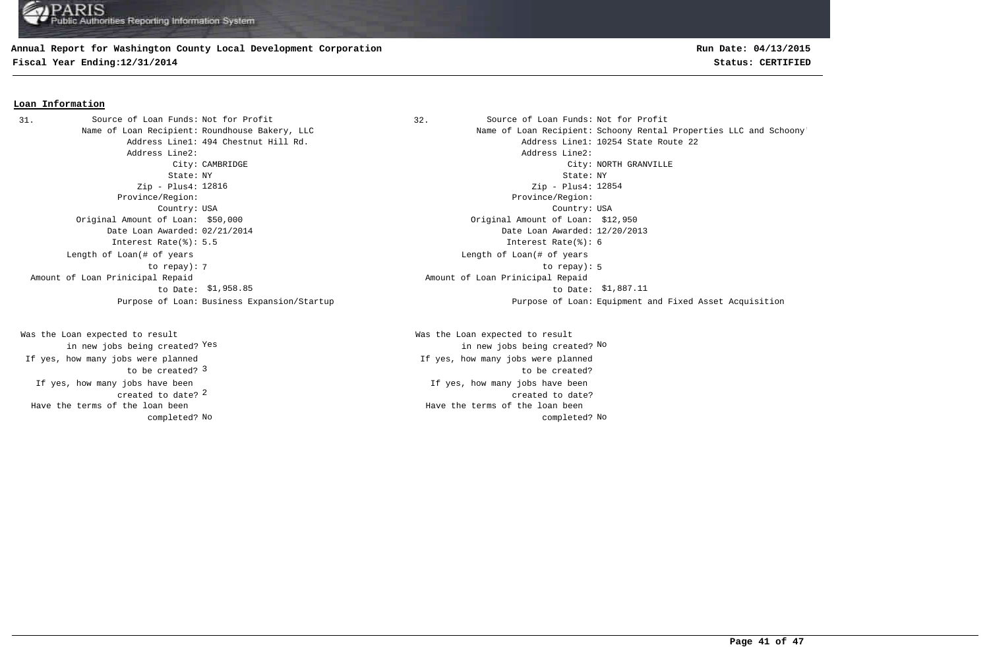### **Annual Report for Washington County Local Development Corporation**

**Fiscal Year Ending:12/31/2014 Status: CERTIFIED**

### **Loan Information**

31. Source of Loan Funds: Not for Profit (32. Source of Loan Funds: Not for Profit Address Line2: Address Line2: Zip - Plus4: Zip - Plus4: Province/Region: Province/Region: Country: USA Country: USA Original Amount of Loan: \$50,000 Original Amount of Loan: \$12,950 Date Loan Awarded: 02/21/2014 Date Loan Awarded: 12/20/2013 Interest Rate(%): 5.5 Interest Rate(%): 6 Length of Loan(# of years to repay): Amount of Loan Prinicipal Repaid to Date:

2 created to date? If yes, how many jobs have been to be created? 3 Was the Loan expected to result in new jobs being created? Yes If yes, how many jobs were planned Have the terms of the loan been completed?

Name of Loan Recipient: Roundhouse Bakery, LLC Name of Loan Recipient: Schoony Rental Properties LLC and Schoony' Address Line1: 494 Chestnut Hill Rd. Address Line1: 10254 State Route 22 City: CAMBRIDGE City: NORTH GRANVILLE State: NY State: NY Zip - Plus4: 12854 The state of the state of the state of the state of the state of the state of the state of the state of the state of the state of the state of the state of the state of the state of the state of the state of the state of t Length of Loan(# of years \$1,958.85 \$1,887.11 to Date: Amount of Loan Prinicipal Repaid Purpose of Loan: Business Expansion/Startup Purpose of Loan: Equipment and Fixed Asset Acquisition

> If yes, how many jobs have been created to date? Was the Loan expected to result Yes the contraction of the contraction of the contraction of the contraction of  $\mathbb{N}^{\infty}$  and  $\mathbb{N}^{\infty}$ If yes, how many jobs were planned to be created? No No completed? Have the terms of the loan been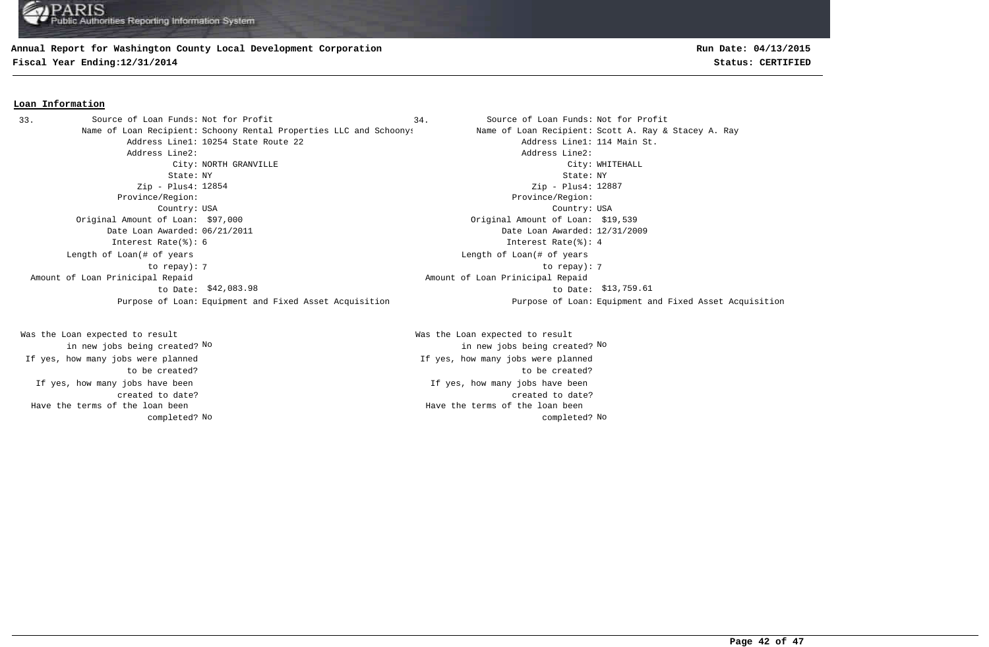### **Annual Report for Washington County Local Development Corporation**

**Fiscal Year Ending:12/31/2014 Status: CERTIFIED**

### **Loan Information**

Name of Loan Recipient: Schoony Rental Properties LLC and Schoonys Name of Loan Recipient: Scott A. Ray & Stacey A. Ray Address Line1: 10254 State Route 22 Address Line1: 114 Main St. Address Line2: Address Line2: City: NORTH GRANVILLE City: WHITEHALL State: NY State: NY Zip - Plus4: Zip - Plus4: Province/Region: Province/Region: Country: USA Country: USA Original Amount of Loan: \$97,000 Original Amount of Loan: \$19,539 Date Loan Awarded: 06/21/2011 Date Loan Awarded: 12/31/2009 Interest Rate(%): 6 Interest Rate(%): 4 7 7 to repay): Length of Loan(# of years to repay): \$42,083.98 \$13,759.61 to Date: Amount of Loan Prinicipal Repaid to Date: \$42,083.98 33. Source of Loan Funds: Not for Profit

If yes, how many jobs have been created to date? Was the Loan expected to result in new jobs being created? No If yes, how many jobs were planned to be created? Have the terms of the loan been completed?

If yes, how many jobs have been created to date? Was the Loan expected to result in new jobs being created? No No If yes, how many jobs were planned to be created? No No completed? Have the terms of the loan been

**Run Date: 04/13/2015**

34. Source of Loan Funds: Not for Profit Zip - Plus4: 12887 Length of Loan(# of years Amount of Loan Prinicipal Repaid Purpose of Loan: Equipment and Fixed Asset Acquisition Purpose of Loan: Equipment and Fixed Asset Acquisition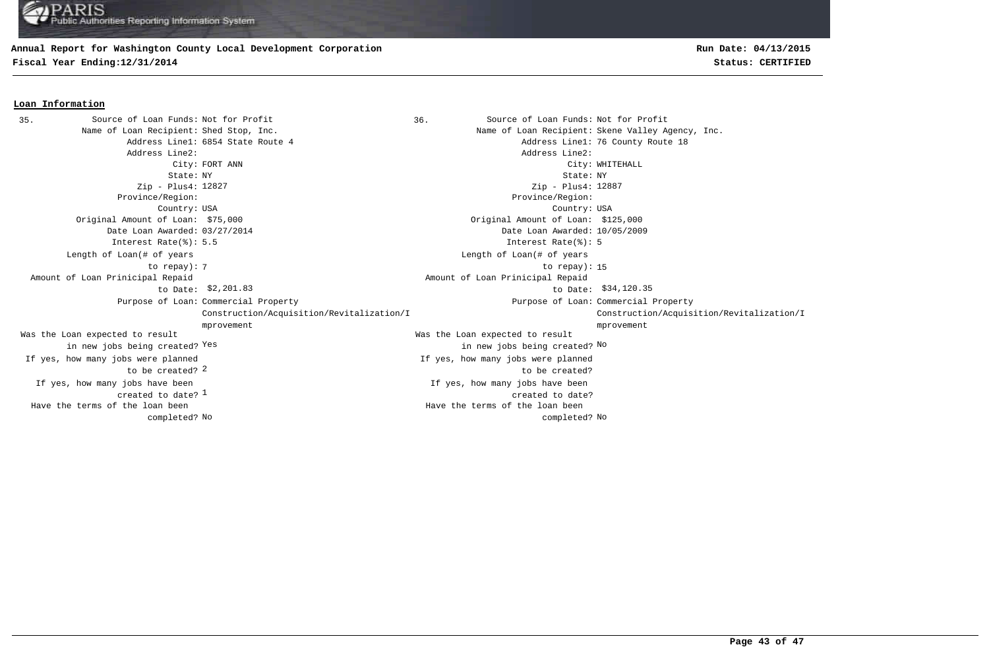### **Annual Report for Washington County Local Development Corporation**

**Fiscal Year Ending:12/31/2014 Status: CERTIFIED**

### **Loan Information**

Source of Loan Funds: Not for Profit Source of Loan Funds: Not for Profit Name of Loan Recipient: Shed Stop, Inc. The State of Loan Recipient: Skene Valley Agency, Inc. Address Line1: 6854 State Route 4 Address Line1: 76 County Route 18 Address Line2: Address Line2: City: FORT ANN City: WHITEHALL State: NY State: NY Zip - Plus4: 12827 Province/Region: Province/Region: Country: USA Country: USA created to date?  $^{\rm 1}$ If yes, how many jobs have been If yes, how many jobs have been created to date? Original Amount of Loan: \$75,000 Original Amount of Loan: \$125,000 Date Loan Awarded: 03/27/2014 Date Loan Awarded: 10/05/2009 to be created? 2 Was the Loan expected to result in new jobs being created? Yes Was the Loan expected to result Yes the contraction of the contraction of the contraction of the contraction of  $\mathbb{N}^{\infty}$  and  $\mathbb{N}^{\infty}$ Zip - Plus4: 12887 Interest Rate(%): 5.5 Interest Rate(%): 5 If yes, how many jobs were planned If yes, how many jobs were planned to be created? The contract of the contract of the contract of the contract of the contract of the contract of the contract of the contract of the contract of the contract of the contract of the contract of the contract of the contract o Length of Loan(# of years to repay): Length of Loan(# of years \$2,201.83 \$34,120.35 to Date: Amount of Loan Prinicipal Repaid to Date: Amount of Loan Prinicipal Repaid Purpose of Loan: Commercial Property **Example 2** and the community of Loan: Purpose of Loan: Construction/Acquisition/Revitalization/I mprovement Purpose of Loan: Commercial Property Construction/Acquisition/Revitalization/I mprovement No No completed? Have the terms of the loan been completed? Have the terms of the loan been 35. Source of Loan Funds: Not for Profit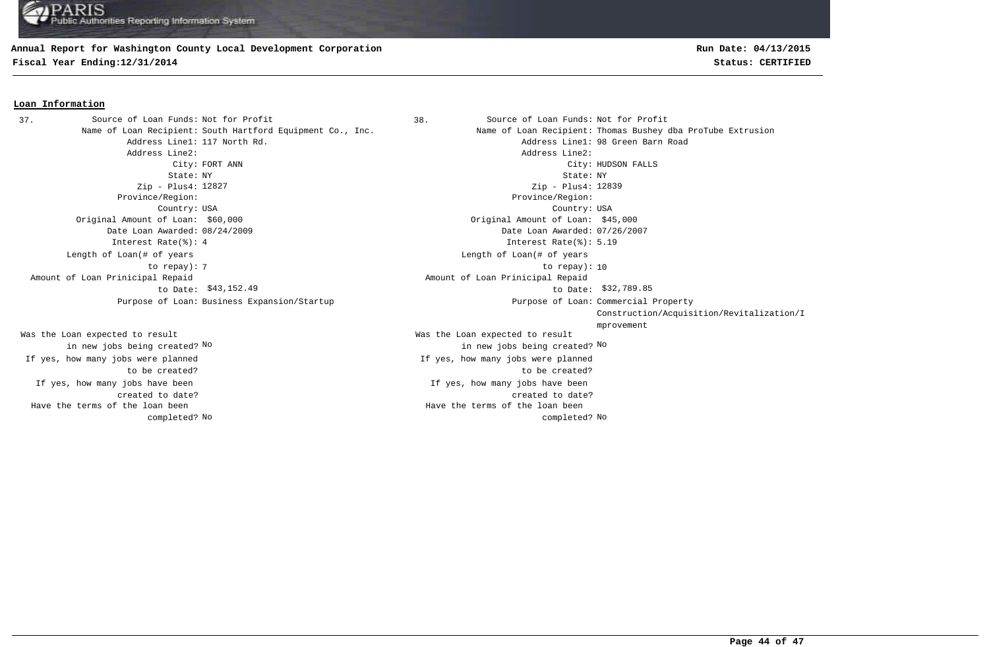#### **Annual Report for Washington County Local Development Corporation**

**Fiscal Year Ending:12/31/2014 Status: CERTIFIED**

## **Run Date: 04/13/2015**

### **Loan Information**

Address Line2: Address Line2: Zip - Plus4: 12827 Province/Region: Province/Region: Country: USA Country: USA Original Amount of Loan: \$60,000 Original Amount of Loan: \$45,000 Date Loan Awarded: 08/24/2009 Date Loan Awarded: 07/26/2007 Interest Rate(%): 4 Interest Rate(%): 5.19 Length of Loan(# of years to repay): Amount of Loan Prinicipal Repaid to Date: \$43,152.49 Purpose of Loan: Business Expansion/Startup 37. Source of Loan Funds: Not for Profit

If yes, how many jobs have been created to date? Was the Loan expected to result in new jobs being created? No If yes, how many jobs were planned to be created? Have the terms of the loan been completed?

38. Source of Loan Funds: Not for Profit Name of Loan Recipient: South Hartford Equipment Co., Inc. Name of Loan Recipient: Thomas Bushey dba ProTube Extrusion Address Line1: 117 North Rd. Address Line1: 98 Green Barn Road City: FORT ANN City: HUDSON FALLS State: NY State: NY If yes, how many jobs have been created to date? Was the Loan expected to result in new jobs being created? No No Zip - Plus4: 12839 If yes, how many jobs were planned to be created? The contract of the contract of the contract of the contract of the contract of the contract of the contract of the contract of the contract of the contract of the contract of the contract of the contract of the contract o Length of Loan(# of years \$43,152.49 \$32,789.85 to Date: Amount of Loan Prinicipal Repaid Purpose of Loan: Commercial Property Construction/Acquisition/Revitalization/I mprovement No No completed? Have the terms of the loan been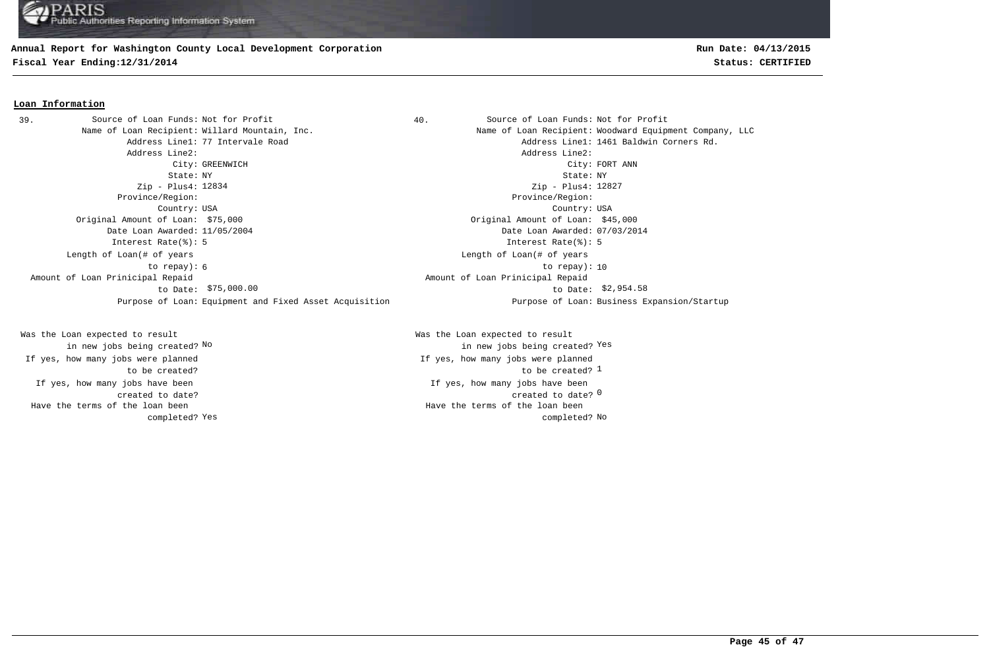### **Annual Report for Washington County Local Development Corporation**

**Fiscal Year Ending:12/31/2014 Status: CERTIFIED**

### **Loan Information**

39. Source of Loan Funds: Not for Profit  $\begin{array}{ccc} 39. & 40. & 50 \end{array}$  Source of Loan Funds: Not for Profit Name of Loan Recipient: Willard Mountain, Inc. Name of Loan Recipient: Woodward Equipment Company, LLC Address Line2: Address Line2: City: GREENWICH City: FORT ANN State: NY State: NY Zip - Plus4: Zip - Plus4: Province/Region: Province/Region: Country: USA Country: USA Original Amount of Loan: \$75,000 Original Amount of Loan: \$45,000 Date Loan Awarded: 11/05/2004 Date Loan Awarded: 07/03/2014 Interest Rate(%): 5 Interest Rate(%): 5 6 10 to repay): 10 Length of Loan(# of years to repay): Amount of Loan Prinicipal Repaid to Date: \$75,000.00 Purpose of Loan: Equipment and Fixed Asset Acquisition Purpose of Loan: Business Expansion/Startup

If yes, how many jobs have been created to date? Was the Loan expected to result in new jobs being created? No If yes, how many jobs were planned to be created? Have the terms of the loan been completed?

Address Line1: 77 Intervale Road and Address Line1: 1461 Baldwin Corners Rd. Zip - Plus4: 12827 Length of Loan(# of years  $$75,000.00$   $$2,954.58$ Amount of Loan Prinicipal Repaid

> created to date? <sup>0</sup> If yes, how many jobs have been to be created? 1 Was the Loan expected to result new jobs being created? <sup>Yes</sup> in new jobs being created? <sup>Yes</sup> If yes, how many jobs were planned Yes and the completed? No completed? No completed? No completed? No completed? No Have the terms of the loan been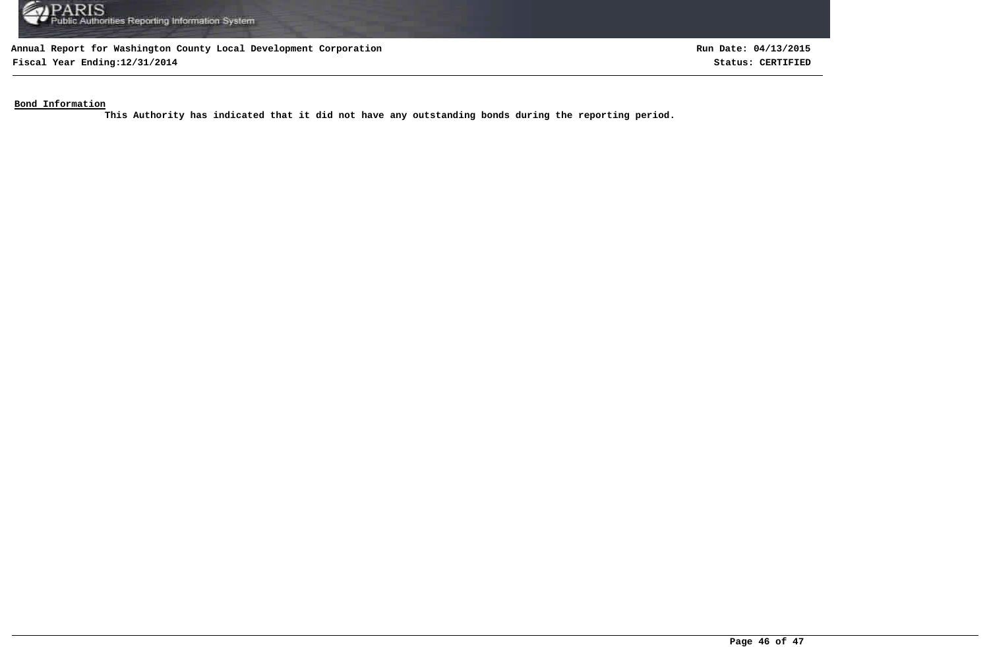

**Fiscal Year Ending:12/31/2014 Status: CERTIFIED**

**Run Date: 04/13/2015**

**Bond Information**

**This Authority has indicated that it did not have any outstanding bonds during the reporting period.**